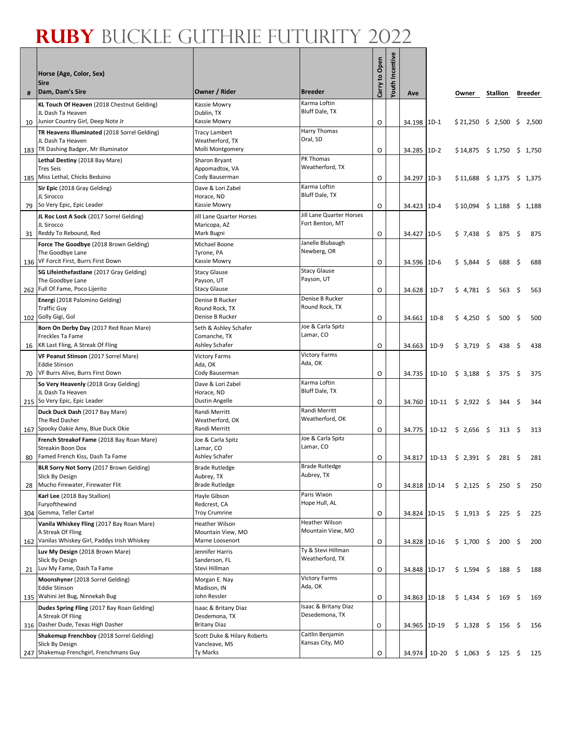|     | Horse (Age, Color, Sex)                                           |                                         |                                       | Carry to Open | <b>Youth Incentive</b> |              |        |                                     |      |                |      |         |
|-----|-------------------------------------------------------------------|-----------------------------------------|---------------------------------------|---------------|------------------------|--------------|--------|-------------------------------------|------|----------------|------|---------|
| #   | <b>Sire</b><br>Dam, Dam's Sire                                    | Owner / Rider                           | <b>Breeder</b>                        |               |                        | Ave          |        | Owner                               |      | Stallion       |      | Breeder |
|     | KL Touch Of Heaven (2018 Chestnut Gelding)                        | Kassie Mowry                            | Karma Loftin                          |               |                        |              |        |                                     |      |                |      |         |
|     | JL Dash Ta Heaven                                                 | Dublin, TX                              | Bluff Dale, TX                        |               |                        |              |        |                                     |      |                |      |         |
| 10  | Junior Country Girl, Deep Note Jr                                 | Kassie Mowry                            |                                       | O             |                        | 34.198 1D-1  |        | $$21,250 \ $2,500 \ $$              |      |                |      | 2,500   |
|     | TR Heavens Illuminated (2018 Sorrel Gelding)<br>JL Dash Ta Heaven | <b>Tracy Lambert</b><br>Weatherford, TX | Harry Thomas<br>Oral, SD              |               |                        |              |        |                                     |      |                |      |         |
| 183 | TR Dashing Badger, Mr Illuminator                                 | Molli Montgomery                        |                                       | O             |                        | 34.285 1D-2  |        | $$14,875 \t$ 1,750 \t$ 1,750$       |      |                |      |         |
|     | Lethal Destiny (2018 Bay Mare)                                    | Sharon Bryant                           | PK Thomas                             |               |                        |              |        |                                     |      |                |      |         |
|     | Tres Seis                                                         | Appomadtox, VA                          | Weatherford, TX                       |               |                        |              |        |                                     |      |                |      |         |
|     | 185 Miss Lethal, Chicks Beduino<br>Sir Epic (2018 Gray Gelding)   | Cody Bauserman<br>Dave & Lori Zabel     | Karma Loftin                          | O             |                        | 34.297 1D-3  |        | $$11,688$ \$ 1,375 \$ 1,375         |      |                |      |         |
| 79  | JL Sirocco<br>So Very Epic, Epic Leader                           | Horace, ND<br>Kassie Mowry              | Bluff Dale, TX                        | O             |                        | 34.423 1D-4  |        | $$10,094 \quad $1,188 \quad $1,188$ |      |                |      |         |
|     | JL Roc Lost A Sock (2017 Sorrel Gelding)                          | Jill Lane Quarter Horses                | Jill Lane Quarter Horses              |               |                        |              |        |                                     |      |                |      |         |
|     | JL Sirocco                                                        | Maricopa, AZ                            | Fort Benton, MT                       |               |                        |              |        |                                     |      |                |      |         |
| 31  | Reddy To Rebound, Red                                             | Mark Bugni                              | Janelle Blubaugh                      | O             |                        | 34.427 1D-5  |        | \$7,438                             | - \$ | 875 \$         |      | 875     |
|     | Force The Goodbye (2018 Brown Gelding)<br>The Goodbye Lane        | Michael Boone<br>Tyrone, PA             | Newberg, OR                           |               |                        |              |        |                                     |      |                |      |         |
| 136 | VF Forcit First, Burrs First Down                                 | Kassie Mowry                            |                                       | O             |                        | 34.596 1D-6  |        | \$5,844\$                           |      | 688            | \$   | 688     |
|     | SG Lifeinthefastlane (2017 Gray Gelding)                          | <b>Stacy Glause</b>                     | <b>Stacy Glause</b>                   |               |                        |              |        |                                     |      |                |      |         |
|     | The Goodbye Lane<br>262 Full Of Fame, Poco Lijerito               | Payson, UT<br><b>Stacy Glause</b>       | Payson, UT                            | O             |                        | 34.628       | $1D-7$ | \$4,781 \$                          |      | 563 \$         |      | 563     |
|     | Energi (2018 Palomino Gelding)                                    | Denise B Rucker                         | Denise B Rucker                       |               |                        |              |        |                                     |      |                |      |         |
|     | <b>Traffic Guy</b>                                                | Round Rock, TX                          | Round Rock, TX                        |               |                        |              |        |                                     |      |                |      |         |
| 102 | Golly Gigi, Gol                                                   | Denise B Rucker                         |                                       | O             |                        | 34.661       | $1D-8$ | $$4,250$ \$                         |      | $500 \quad$ \$ |      | 500     |
|     | Born On Derby Day (2017 Red Roan Mare)<br>Freckles Ta Fame        | Seth & Ashley Schafer<br>Comanche, TX   | Joe & Carla Spitz<br>Lamar, CO        |               |                        |              |        |                                     |      |                |      |         |
| 16  | KR Last Fling, A Streak Of Fling                                  | Ashley Schafer                          |                                       | O             |                        | 34.663       | $1D-9$ | \$3,719                             | - \$ | 438            | - \$ | 438     |
|     | VF Peanut Stinson (2017 Sorrel Mare)                              | <b>Victory Farms</b>                    | <b>Victory Farms</b>                  |               |                        |              |        |                                     |      |                |      |         |
|     | <b>Eddie Stinson</b>                                              | Ada, OK                                 | Ada, OK                               |               |                        |              |        |                                     |      |                |      |         |
| 70  | VF Burrs Alive, Burrs First Down                                  | Cody Bauserman<br>Dave & Lori Zabel     | Karma Loftin                          | O             |                        | 34.735       | 1D-10  | \$3,188                             |      | 375 \$         |      | 375     |
|     | So Very Heavenly (2018 Gray Gelding)<br>JL Dash Ta Heaven         | Horace, ND                              | Bluff Dale, TX                        |               |                        |              |        |                                     |      |                |      |         |
|     | 215 So Very Epic, Epic Leader                                     | Dustin Angelle                          |                                       | O             |                        |              |        | $34.760$ 1D-11 \$ 2,922 \$          |      | 344            | - \$ | 344     |
|     | Duck Duck Dash (2017 Bay Mare)                                    | Randi Merritt                           | Randi Merritt<br>Weatherford, OK      |               |                        |              |        |                                     |      |                |      |         |
|     | The Red Dasher<br>167 Spooky Oakie Amy, Blue Duck Okie            | Weatherford, OK<br>Randi Merritt        |                                       | O             |                        |              |        | 34.775 1D-12 \$ 2,656 \$            |      | $313 \quad 5$  |      | 313     |
|     | French Streakof Fame (2018 Bay Roan Mare)                         | Joe & Carla Spitz                       | Joe & Carla Spitz                     |               |                        |              |        |                                     |      |                |      |         |
|     | Streakin Boon Dox                                                 | Lamar, CO                               | Lamar, CO                             |               |                        |              |        |                                     |      |                |      |         |
| 80  | Famed French Kiss, Dash Ta Fame                                   | Ashley Schafer                          | <b>Brade Rutledge</b>                 | O             |                        |              |        | $34.817$ 1D-13 \$ 2,391 \$          |      | $281 \quad $$  |      | 281     |
|     | BLR Sorry Not Sorry (2017 Brown Gelding)<br>Slick By Design       | <b>Brade Rutledge</b><br>Aubrey, TX     | Aubrey, TX                            |               |                        |              |        |                                     |      |                |      |         |
| 28  | Mucho Firewater, Firewater Flit                                   | <b>Brade Rutledge</b>                   |                                       | O             |                        | 34.818 1D-14 |        | $$2,125$ \$                         |      | $250 \quad$ \$ |      | 250     |
|     | Karl Lee (2018 Bay Stallion)                                      | Hayle Gibson                            | Paris Wixon                           |               |                        |              |        |                                     |      |                |      |         |
|     | Furyofthewind<br>304 Gemma, Teller Cartel                         | Redcrest, CA<br><b>Troy Crumrine</b>    | Hope Hull, AL                         | O             |                        | 34.824 1D-15 |        | $$1,913 \t$ 225 \t$$                |      |                |      | 225     |
|     | Vanila Whiskey Fling (2017 Bay Roan Mare)                         | <b>Heather Wilson</b>                   | Heather Wilson                        |               |                        |              |        |                                     |      |                |      |         |
|     | A Streak Of Fling                                                 | Mountain View, MO                       | Mountain View, MO                     |               |                        |              |        |                                     |      |                |      |         |
|     | 162 Vanilas Whiskey Girl, Paddys Irish Whiskey                    | Marne Loosenort                         |                                       | O             |                        | 34.828 1D-16 |        | $$1,700$ \$                         |      | $200 \pm$      |      | 200     |
|     | Luv My Design (2018 Brown Mare)<br>Slick By Design                | Jennifer Harris<br>Sanderson, FL        | Ty & Stevi Hillman<br>Weatherford, TX |               |                        |              |        |                                     |      |                |      |         |
|     | 21 Luv My Fame, Dash Ta Fame                                      | Stevi Hillman                           |                                       | O             |                        | 34.848 1D-17 |        | $$1,594$ \$                         |      | 188\$          |      | 188     |
|     | Moonshyner (2018 Sorrel Gelding)                                  | Morgan E. Nay                           | <b>Victory Farms</b>                  |               |                        |              |        |                                     |      |                |      |         |
|     | <b>Eddie Stinson</b><br>135 Wahini Jet Bug, Ninnekah Bug          | Madison, IN<br>John Ressler             | Ada, OK                               |               |                        |              |        |                                     |      |                |      |         |
|     | Dudes Spring Fling (2017 Bay Roan Gelding)                        | Isaac & Britany Diaz                    | Isaac & Britany Diaz                  | O             |                        | 34.863 1D-18 |        | $$1,434$ \$                         |      | 169            | \$   | 169     |
|     | A Streak Of Fling                                                 | Desdemona, TX                           | Desedemona, TX                        |               |                        |              |        |                                     |      |                |      |         |
|     | 316 Dasher Dude, Texas High Dasher                                | <b>Britany Diaz</b>                     |                                       | O             |                        | 34.965 1D-19 |        | \$1,328\$                           |      | 156 \$         |      | 156     |
|     | Shakemup Frenchboy (2018 Sorrel Gelding)<br>Slick By Design       | Scott Duke & Hilary Roberts             | Caitlin Benjamin<br>Kansas City, MO   |               |                        |              |        |                                     |      |                |      |         |
|     | 247 Shakemup Frenchgirl, Frenchmans Guy                           | Vancleave, MS<br>Ty Marks               |                                       | O             |                        |              |        | 34.974 1D-20 \$ 1,063 \$ 125 \$     |      |                |      | 125     |
|     |                                                                   |                                         |                                       |               |                        |              |        |                                     |      |                |      |         |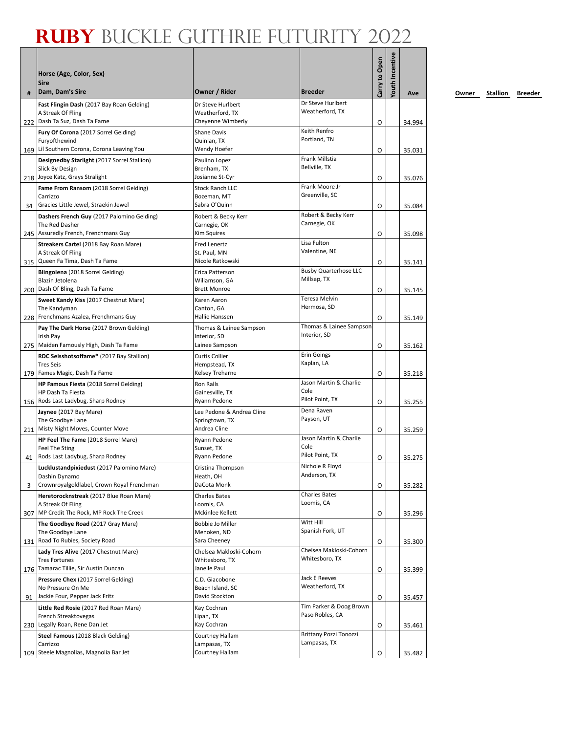| #  | Horse (Age, Color, Sex)<br><b>Sire</b><br>Dam, Dam's Sire                                            | Owner / Rider                                     | <b>Breeder</b>                         | Carry to Open | <b>/outh Incentive</b> | Ave    |
|----|------------------------------------------------------------------------------------------------------|---------------------------------------------------|----------------------------------------|---------------|------------------------|--------|
|    | Fast Flingin Dash (2017 Bay Roan Gelding)                                                            | Dr Steve Hurlbert                                 | Dr Steve Hurlbert                      |               |                        |        |
|    | A Streak Of Fling<br>222 Dash Ta Suz, Dash Ta Fame                                                   | Weatherford, TX                                   | Weatherford, TX                        |               |                        |        |
|    |                                                                                                      | Cheyenne Wimberly                                 | Keith Renfro                           | O             |                        | 34.994 |
|    | Fury Of Corona (2017 Sorrel Gelding)<br>Furyofthewind<br>169 Lil Southern Corona, Corona Leaving You | <b>Shane Davis</b><br>Quinlan. TX<br>Wendy Hoefer | Portland, TN                           | O             |                        | 35.031 |
|    | Designedby Starlight (2017 Sorrel Stallion)                                                          | Paulino Lopez                                     | Frank Millstia                         |               |                        |        |
|    | Slick By Design                                                                                      | Brenham, TX                                       | Bellville, TX                          |               |                        |        |
|    | 218 Joyce Katz, Grays Stralight                                                                      | Josianne St-Cyr                                   | Frank Moore Jr                         | O             |                        | 35.076 |
|    | Fame From Ransom (2018 Sorrel Gelding)<br>Carrizzo                                                   | <b>Stock Ranch LLC</b><br>Bozeman, MT             | Greenville, SC                         |               |                        |        |
| 34 | Gracies Little Jewel, Straekin Jewel                                                                 | Sabra O'Quinn                                     |                                        | O             |                        | 35.084 |
|    | Dashers French Guy (2017 Palomino Gelding)                                                           | Robert & Becky Kerr                               | Robert & Becky Kerr                    |               |                        |        |
|    | The Red Dasher                                                                                       | Carnegie, OK                                      | Carnegie, OK                           |               |                        |        |
|    | 245 Assuredly French, Frenchmans Guy                                                                 | Kim Squires                                       |                                        | O             |                        | 35.098 |
|    | Streakers Cartel (2018 Bay Roan Mare)<br>A Streak Of Fling                                           | Fred Lenertz<br>St. Paul, MN                      | Lisa Fulton<br>Valentine, NE           |               |                        |        |
|    | 315 Queen Fa Tima, Dash Ta Fame                                                                      | Nicole Ratkowski                                  |                                        | O             |                        | 35.141 |
|    | Blingolena (2018 Sorrel Gelding)                                                                     | Erica Patterson                                   | <b>Busby Quarterhose LLC</b>           |               |                        |        |
|    | Blazin Jetolena                                                                                      | Wiliamson, GA                                     | Millsap, TX                            |               |                        |        |
|    | 200 Dash Of Bling, Dash Ta Fame                                                                      | <b>Brett Monroe</b>                               |                                        | O             |                        | 35.145 |
|    | Sweet Kandy Kiss (2017 Chestnut Mare)                                                                | Karen Aaron                                       | <b>Teresa Melvin</b><br>Hermosa, SD    |               |                        |        |
|    | The Kandyman<br>228 Frenchmans Azalea, Frenchmans Guy                                                | Canton. GA<br>Hallie Hanssen                      |                                        | O             |                        | 35.149 |
|    | Pay The Dark Horse (2017 Brown Gelding)                                                              | Thomas & Lainee Sampson                           | Thomas & Lainee Sampson                |               |                        |        |
|    | Irish Pay                                                                                            | Interior, SD                                      | Interior, SD                           |               |                        |        |
|    | 275   Maiden Famously High, Dash Ta Fame                                                             | Lainee Sampson                                    |                                        | O             |                        | 35.162 |
|    | RDC Seisshotsoffame* (2017 Bay Stallion)                                                             | <b>Curtis Collier</b>                             | <b>Erin Goings</b><br>Kaplan, LA       |               |                        |        |
|    | <b>Tres Seis</b><br>179 Fames Magic, Dash Ta Fame                                                    | Hempstead, TX<br>Kelsey Treharne                  |                                        | O             |                        | 35.218 |
|    | HP Famous Fiesta (2018 Sorrel Gelding)                                                               | Ron Ralls                                         | Jason Martin & Charlie                 |               |                        |        |
|    | HP Dash Ta Fiesta                                                                                    | Gainesville, TX                                   | Cole                                   |               |                        |        |
|    | 156 Rods Last Ladybug, Sharp Rodney                                                                  | Ryann Pedone                                      | Pilot Point, TX                        | O             |                        | 35.255 |
|    | Jaynee (2017 Bay Mare)                                                                               | Lee Pedone & Andrea Cline                         | Dena Raven<br>Payson, UT               |               |                        |        |
|    | The Goodbye Lane<br>211 Misty Night Moves, Counter Move                                              | Springtown, TX<br>Andrea Cline                    |                                        | O             |                        | 35.259 |
|    | HP Feel The Fame (2018 Sorrel Mare)                                                                  | Ryann Pedone                                      | Jason Martin & Charlie                 |               |                        |        |
|    | Feel The Sting                                                                                       | Sunset, TX                                        | Cole                                   |               |                        |        |
| 41 | Rods Last Ladybug, Sharp Rodney                                                                      | Ryann Pedone                                      | Pilot Point, TX                        | O             |                        | 35.275 |
|    | Lucklustandpixiedust (2017 Palomino Mare)<br>Dashin Dynamo                                           | Cristina Thompson                                 | Nichole R Floyd<br>Anderson, TX        |               |                        |        |
| 3  | Crownroyalgoldlabel, Crown Royal Frenchman                                                           | Heath, OH<br>DaCota Monk                          |                                        | O             |                        | 35.282 |
|    | Heretorocknstreak (2017 Blue Roan Mare)                                                              | <b>Charles Bates</b>                              | <b>Charles Bates</b>                   |               |                        |        |
|    | A Streak Of Fling                                                                                    | Loomis, CA                                        | Loomis, CA                             |               |                        |        |
|    | 307 MP Credit The Rock, MP Rock The Creek                                                            | Mckinlee Kellett                                  |                                        | O             |                        | 35.296 |
|    | The Goodbye Road (2017 Gray Mare)<br>The Goodbye Lane                                                | Bobbie Jo Miller<br>Menoken, ND                   | Witt Hill<br>Spanish Fork, UT          |               |                        |        |
|    | 131 Road To Rubies, Society Road                                                                     | Sara Cheeney                                      |                                        | O             |                        | 35.300 |
|    | Lady Tres Alive (2017 Chestnut Mare)                                                                 | Chelsea Makloski-Cohorn                           | Chelsea Makloski-Cohorn                |               |                        |        |
|    | <b>Tres Fortunes</b>                                                                                 | Whitesboro. TX                                    | Whitesboro, TX                         |               |                        |        |
|    | 176 Tamarac Tillie, Sir Austin Duncan                                                                | Janelle Paul                                      |                                        | O             |                        | 35.399 |
|    | Pressure Chex (2017 Sorrel Gelding)<br>No Pressure On Me                                             | C.D. Giacobone                                    | Jack E Reeves<br>Weatherford, TX       |               |                        |        |
| 91 | Jackie Four, Pepper Jack Fritz                                                                       | Beach Island, SC<br>David Stockton                |                                        | O             |                        | 35.457 |
|    | Little Red Rosie (2017 Red Roan Mare)                                                                | Kay Cochran                                       | Tim Parker & Doog Brown                |               |                        |        |
|    | French Streaktovegas                                                                                 | Lipan, TX                                         | Paso Robles, CA                        |               |                        |        |
|    | 230 Legally Roan, Rene Dan Jet                                                                       | Kay Cochran                                       |                                        | O             |                        | 35.461 |
|    | Steel Famous (2018 Black Gelding)                                                                    | Courtney Hallam                                   | Brittany Pozzi Tonozzi<br>Lampasas, TX |               |                        |        |
|    | Carrizzo<br>109 Steele Magnolias, Magnolia Bar Jet                                                   | Lampasas, TX<br>Courtney Hallam                   |                                        | O             |                        | 35.482 |
|    |                                                                                                      |                                                   |                                        |               |                        |        |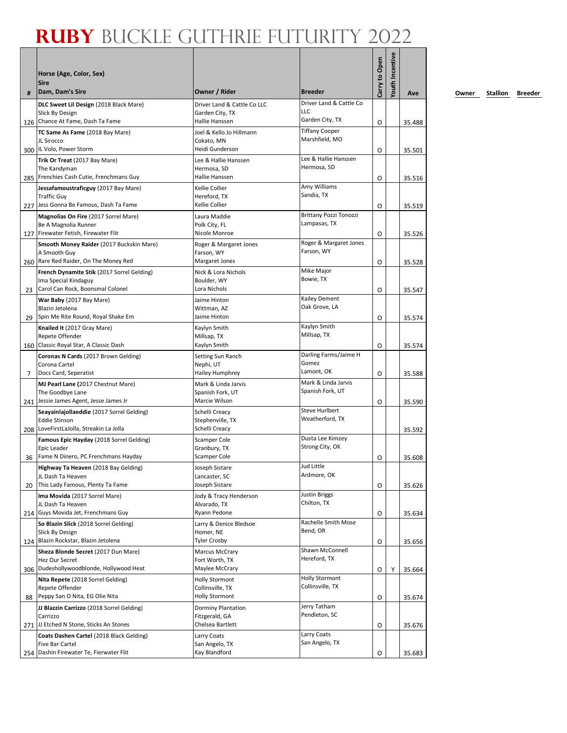| #   | Horse (Age, Color, Sex)<br><b>Sire</b><br>Dam, Dam's Sire                                                                                       | Owner / Rider                                                        | <b>Breeder</b>                               | Carry to Open | <b>routh Incentive</b> | Ave              |
|-----|-------------------------------------------------------------------------------------------------------------------------------------------------|----------------------------------------------------------------------|----------------------------------------------|---------------|------------------------|------------------|
|     | DLC Sweet Lil Design (2018 Black Mare)                                                                                                          | Driver Land & Cattle Co LLC                                          | Driver Land & Cattle Co                      |               |                        |                  |
|     | Slick By Design<br>126 Chance At Fame, Dash Ta Fame                                                                                             | Garden City, TX<br>Hallie Hanssen                                    | LLC<br>Garden City, TX                       | O             |                        | 35.488           |
|     | TC Same As Fame (2018 Bay Mare)<br>JL Sirocco<br>300 IL Volo, Power Storm                                                                       | Joel & Kello Jo Hillmann<br>Cokato, MN<br>Heidi Gunderson            | <b>Tiffany Cooper</b><br>Marshfield, MO      | O             |                        | 35.501           |
|     | Trik Or Treat (2017 Bay Mare)<br>The Kandyman<br>285 Frenchies Cash Cutie, Frenchmans Guy                                                       | Lee & Hallie Hanssen<br>Hermosa, SD<br>Hallie Hanssen                | Lee & Hallie Hanssen<br>Hermosa, SD          | O             |                        | 35.516           |
|     | Jessafamoustraficguy (2017 Bay Mare)<br><b>Traffic Guy</b><br>227 Jess Gonna Be Famous, Dash Ta Fame                                            | Kellie Collier<br>Hereford, TX<br>Kellie Collier                     | Amy Williams<br>Sandia, TX                   | O             |                        | 35.519           |
|     | Magnolias On Fire (2017 Sorrel Mare)<br>Be A Magnolia Runner<br>127 Firewater Fetish, Firewater Flit                                            | Laura Maddie<br>Polk City, FL<br>Nicole Monroe                       | Brittany Pozzi Tonozzi<br>Lampasas, TX       | O             |                        | 35.526           |
|     | Smooth Money Raider (2017 Buckskin Mare)<br>A Smooth Guy                                                                                        | Roger & Margaret Jones<br>Farson, WY                                 | Roger & Margaret Jones<br>Farson, WY         |               |                        |                  |
| 23  | 260 Rare Red Raider, On The Money Red<br>French Dynamite Stik (2017 Sorrel Gelding)<br>Ima Special Kindaguy<br>Carol Can Rock, Boonsmal Colonel | Margaret Jones<br>Nick & Lora Nichols<br>Boulder, WY<br>Lora Nichols | Mike Major<br>Bowie, TX                      | O<br>O        |                        | 35.528<br>35.547 |
| 29  | War Baby (2017 Bay Mare)<br>Blazin Jetolena<br>Spin Me Rite Round, Royal Shake Em                                                               | Jaime Hinton<br>Wittman, AZ<br>Jaime Hinton                          | Kailey Dement<br>Oak Grove, LA               | O             |                        | 35.574           |
|     | Knailed It (2017 Gray Mare)<br>Repete Offender<br>160 Classic Royal Star, A Classic Dash                                                        | Kaylyn Smith<br>Millsap, TX<br>Kaylyn Smith                          | Kaylyn Smith<br>Millsap, TX                  | O             |                        | 35.574           |
| 7   | Coronas N Cards (2017 Brown Gelding)<br>Corona Cartel<br>Docs Card, Seperatist                                                                  | Setting Sun Ranch<br>Nephi, UT<br>Hailey Humphrey                    | Darling Farms/Jaime H<br>Gomez<br>Lamont, OK | O             |                        | 35.588           |
|     | MJ Pearl Lane (2017 Chestnut Mare)<br>The Goodbye Lane<br>241 Jessie James Agent, Jesse James Jr                                                | Mark & Linda Jarvis<br>Spanish Fork, UT<br>Marcie Wilson             | Mark & Linda Jarvis<br>Spanish Fork, UT      | O             |                        | 35.590           |
|     | Seayainlajollaeddie (2017 Sorrel Gelding)<br><b>Eddie Stinson</b><br>208 LoveFirstLaJolla, Streakin La Jolla                                    | Schelli Creacy<br>Stephenville, TX<br>Schelli Creacy                 | <b>Steve Hurlbert</b><br>Weatherford, TX     |               |                        | 35.592           |
| 36  | Famous Epic Hayday (2018 Sorrel Gelding)<br>Epic Leader<br>Fame N Dinero, PC Frenchmans Hayday                                                  | Scamper Cole<br>Granbury, TX<br>Scamper Cole                         | Dusta Lee Kimzey<br>Strong City, OK          | O             |                        | 35.608           |
| 20  | Highway Ta Heaven (2018 Bay Gelding)<br>JL Dash Ta Heaven<br>This Lady Famous, Plenty Ta Fame                                                   | Joseph Sistare<br>Lancaster, SC<br>Joseph Sistare                    | Jud Little<br>Ardmore, OK                    | O             |                        | 35.626           |
|     | Ima Movida (2017 Sorrel Mare)<br>JL Dash Ta Heaven<br>214 Guys Movida Jet, Frenchmans Guy                                                       | Jody & Tracy Henderson<br>Alvarado, TX<br>Ryann Pedone               | <b>Justin Briggs</b><br>Chilton, TX          | O             |                        | 35.634           |
|     | So Blazin Slick (2018 Sorrel Gelding)<br>Slick By Design<br>124 Blazin Rockstar, Blazin Jetolena                                                | Larry & Denice Bledsoe<br>Homer, NE<br><b>Tyler Crosby</b>           | Rachelle Smith Mose<br>Bend, OR              | O             |                        | 35.656           |
|     | Sheza Blonde Secret (2017 Dun Mare)<br>Hez Our Secret<br>306 Dudeshollywoodblonde, Hollywood Heat                                               | <b>Marcus McCrary</b><br>Fort Worth, TX<br>Maylee McCrary            | Shawn McConnell<br>Hereford, TX              | O             | Υ                      | 35.664           |
| 88  | Nita Repete (2018 Sorrel Gelding)<br>Repete Offender<br>Peppy San O Nita, EG Olie Nita                                                          | <b>Holly Stormont</b><br>Collinsville, TX<br><b>Holly Stormont</b>   | <b>Holly Stormont</b><br>Collinsville, TX    | O             |                        | 35.674           |
|     | JJ Blazzin Carrizzo (2018 Sorrel Gelding)<br>Carrizzo<br>271 JJ Etched N Stone, Sticks An Stones                                                | Dorminy Plantation<br>Fitzgerald, GA<br>Chelsea Bartlett             | Jerry Tatham<br>Pendleton, SC                |               |                        |                  |
|     | Coats Dashen Cartel (2018 Black Gelding)<br><b>Five Bar Cartel</b><br>Dashin Firewater Te, Fierwater Flit                                       | Larry Coats<br>San Angelo, TX<br>Kay Blandford                       | Larry Coats<br>San Angelo, TX                | O             |                        | 35.676           |
| 254 |                                                                                                                                                 |                                                                      |                                              | O             |                        | 35.683           |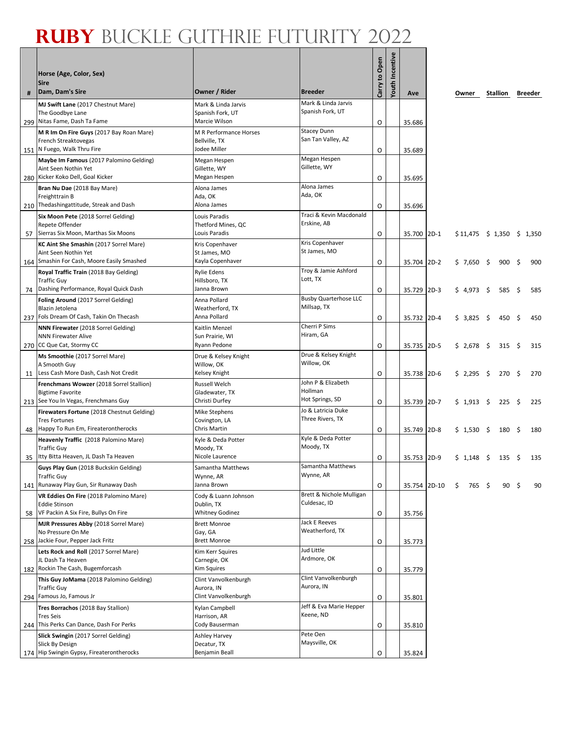|     | Horse (Age, Color, Sex)                                      |                                      |                                         | Carry to Open | <b>Youth Incentive</b> |              |             |  |                               |      |         |
|-----|--------------------------------------------------------------|--------------------------------------|-----------------------------------------|---------------|------------------------|--------------|-------------|--|-------------------------------|------|---------|
|     | <b>Sire</b>                                                  |                                      |                                         |               |                        |              |             |  |                               |      |         |
| #   | Dam, Dam's Sire                                              | Owner / Rider                        | <b>Breeder</b>                          |               |                        | Ave          | Owner       |  | Stallion                      |      | Breeder |
|     | MJ Swift Lane (2017 Chestnut Mare)                           | Mark & Linda Jarvis                  | Mark & Linda Jarvis<br>Spanish Fork, UT |               |                        |              |             |  |                               |      |         |
| 299 | The Goodbye Lane<br>Nitas Fame, Dash Ta Fame                 | Spanish Fork, UT<br>Marcie Wilson    |                                         | O             |                        | 35.686       |             |  |                               |      |         |
|     | M R Im On Fire Guys (2017 Bay Roan Mare)                     | M R Performance Horses               | <b>Stacey Dunn</b>                      |               |                        |              |             |  |                               |      |         |
|     | French Streaktovegas                                         | Bellville, TX                        | San Tan Valley, AZ                      |               |                        |              |             |  |                               |      |         |
|     | 151 N Fuego, Walk Thru Fire                                  | Jodee Miller                         |                                         | O             |                        | 35.689       |             |  |                               |      |         |
|     | Maybe Im Famous (2017 Palomino Gelding)                      | Megan Hespen                         | Megan Hespen                            |               |                        |              |             |  |                               |      |         |
|     | Aint Seen Nothin Yet                                         | Gillette, WY                         | Gillette, WY                            |               |                        |              |             |  |                               |      |         |
| 280 | Kicker Koko Dell, Goal Kicker                                | Megan Hespen                         |                                         | O             |                        | 35.695       |             |  |                               |      |         |
|     | Bran Nu Dae (2018 Bay Mare)                                  | Alona James                          | Alona James<br>Ada, OK                  |               |                        |              |             |  |                               |      |         |
|     | Freighttrain B<br>210 Thedashingattitude, Streak and Dash    | Ada, OK<br>Alona James               |                                         |               |                        |              |             |  |                               |      |         |
|     |                                                              |                                      | Traci & Kevin Macdonald                 | 0             |                        | 35.696       |             |  |                               |      |         |
|     | Six Moon Pete (2018 Sorrel Gelding)<br>Repete Offender       | Louis Paradis<br>Thetford Mines, QC  | Erskine, AB                             |               |                        |              |             |  |                               |      |         |
| 57  | Sierras Six Moon, Marthas Six Moons                          | Louis Paradis                        |                                         | O             |                        | 35.700 2D-1  |             |  | $$11,475 \t$ 1,350 \t$ 1,350$ |      |         |
|     | <b>KC Aint She Smashin</b> (2017 Sorrel Mare)                | Kris Copenhaver                      | Kris Copenhaver                         |               |                        |              |             |  |                               |      |         |
|     | Aint Seen Nothin Yet                                         | St James, MO                         | St James, MO                            |               |                        |              |             |  |                               |      |         |
| 164 | Smashin For Cash, Moore Easily Smashed                       | Kayla Copenhaver                     |                                         | 0             |                        | 35.704 2D-2  | \$7,650\$   |  | $900 \div$                    |      | 900     |
|     | Royal Traffic Train (2018 Bay Gelding)                       | Rylie Edens                          | Troy & Jamie Ashford<br>Lott, TX        |               |                        |              |             |  |                               |      |         |
|     | <b>Traffic Guy</b><br>Dashing Performance, Royal Quick Dash  | Hillsboro, TX<br>Janna Brown         |                                         |               |                        |              |             |  |                               |      |         |
| 74  |                                                              |                                      | <b>Busby Quarterhose LLC</b>            | 0             |                        | 35.729 2D-3  | $$4,973$ \$ |  | 585                           | - \$ | 585     |
|     | Foling Around (2017 Sorrel Gelding)<br>Blazin Jetolena       | Anna Pollard<br>Weatherford, TX      | Millsap, TX                             |               |                        |              |             |  |                               |      |         |
|     | 237 Fols Dream Of Cash, Takin On Thecash                     | Anna Pollard                         |                                         | 0             |                        | 35.732 2D-4  | $$3,825$ \$ |  | 450 \$                        |      | 450     |
|     | <b>NNN Firewater (2018 Sorrel Gelding)</b>                   | Kaitlin Menzel                       | Cherri P Sims                           |               |                        |              |             |  |                               |      |         |
|     | <b>NNN Firewater Alive</b>                                   | Sun Prairie, WI                      | Hiram, GA                               |               |                        |              |             |  |                               |      |         |
|     | 270 CC Que Cat, Stormy CC                                    | Ryann Pedone                         |                                         | O             |                        | 35.735 2D-5  | \$2,678     |  | $315 \quad S$                 |      | 315     |
|     | Ms Smoothie (2017 Sorrel Mare)                               | Drue & Kelsey Knight                 | Drue & Kelsey Knight<br>Willow, OK      |               |                        |              |             |  |                               |      |         |
| 11  | A Smooth Guy<br>Less Cash More Dash, Cash Not Credit         | Willow, OK<br>Kelsey Knight          |                                         | O             |                        | 35.738 2D-6  | $$2,295$ \$ |  | $270 \div$                    |      | 270     |
|     | Frenchmans Wowzer (2018 Sorrel Stallion)                     | Russell Welch                        | John P & Elizabeth                      |               |                        |              |             |  |                               |      |         |
|     | <b>Bigtime Favorite</b>                                      | Gladewater, TX                       | Hollman                                 |               |                        |              |             |  |                               |      |         |
|     | 213 See You In Vegas, Frenchmans Guy                         | Christi Durfey                       | Hot Springs, SD                         | O             |                        | 35.739 2D-7  | $$1,913$ \$ |  | $225 \quad 5$                 |      | 225     |
|     | Firewaters Fortune (2018 Chestnut Gelding)                   | Mike Stephens                        | Jo & Latricia Duke                      |               |                        |              |             |  |                               |      |         |
|     | <b>Tres Fortunes</b>                                         | Covington, LA                        | Three Rivers, TX                        |               |                        |              |             |  |                               |      |         |
| 48  | Happy To Run Em, Fireaterontherocks                          | Chris Martin                         |                                         | O             |                        | 35.749 2D-8  | $$1,530$ \$ |  | 180 \$                        |      | 180     |
|     | Heavenly Traffic (2018 Palomino Mare)<br><b>Traffic Guy</b>  | Kyle & Deda Potter<br>Moody, TX      | Kyle & Deda Potter<br>Moody, TX         |               |                        |              |             |  |                               |      |         |
| 35  | Itty Bitta Heaven, JL Dash Ta Heaven                         | Nicole Laurence                      |                                         | 0             |                        | 35.753 2D-9  | \$1,148     |  | 135 \$                        |      | 135     |
|     | Guys Play Gun (2018 Buckskin Gelding)                        | Samantha Matthews                    | Samantha Matthews                       |               |                        |              |             |  |                               |      |         |
|     | <b>Traffic Guy</b>                                           | Wynne, AR                            | Wynne, AR                               |               |                        |              |             |  |                               |      |         |
|     | 141 Runaway Play Gun, Sir Runaway Dash                       | Janna Brown                          |                                         | O             |                        | 35.754 2D-10 | $$765$ \$   |  | 90 <sup>5</sup>               |      | 90      |
|     | VR Eddies On Fire (2018 Palomino Mare)                       | Cody & Luann Johnson                 | Brett & Nichole Mulligan                |               |                        |              |             |  |                               |      |         |
|     | <b>Eddie Stinson</b><br>VF Packin A Six Fire, Bullys On Fire | Dublin, TX<br><b>Whitney Godinez</b> | Culdesac, ID                            |               |                        |              |             |  |                               |      |         |
| 58  | MJR Pressures Abby (2018 Sorrel Mare)                        |                                      | Jack E Reeves                           | O             |                        | 35.756       |             |  |                               |      |         |
|     | No Pressure On Me                                            | <b>Brett Monroe</b><br>Gay, GA       | Weatherford, TX                         |               |                        |              |             |  |                               |      |         |
|     | 258 Jackie Four, Pepper Jack Fritz                           | <b>Brett Monroe</b>                  |                                         | O             |                        | 35.773       |             |  |                               |      |         |
|     | Lets Rock and Roll (2017 Sorrel Mare)                        | Kim Kerr Squires                     | Jud Little                              |               |                        |              |             |  |                               |      |         |
|     | JL Dash Ta Heaven                                            | Carnegie, OK                         | Ardmore, OK                             |               |                        |              |             |  |                               |      |         |
|     | 182 Rockin The Cash, Bugemforcash                            | Kim Squires                          |                                         | O             |                        | 35.779       |             |  |                               |      |         |
|     | This Guy JoMama (2018 Palomino Gelding)                      | Clint Vanvolkenburgh                 | Clint Vanvolkenburgh<br>Aurora, IN      |               |                        |              |             |  |                               |      |         |
|     | <b>Traffic Guy</b><br>294 Famous Jo, Famous Jr               | Aurora, IN<br>Clint Vanvolkenburgh   |                                         | O             |                        | 35.801       |             |  |                               |      |         |
|     | Tres Borrachos (2018 Bay Stallion)                           | Kylan Campbell                       | Jeff & Eva Marie Hepper                 |               |                        |              |             |  |                               |      |         |
|     | <b>Tres Seis</b>                                             | Harrison, AR                         | Keene, ND                               |               |                        |              |             |  |                               |      |         |
| 244 | This Perks Can Dance, Dash For Perks                         | Cody Bauserman                       |                                         | O             |                        | 35.810       |             |  |                               |      |         |
|     | Slick Swingin (2017 Sorrel Gelding)                          | Ashley Harvey                        | Pete Oen                                |               |                        |              |             |  |                               |      |         |
|     | Slick By Design                                              | Decatur, TX                          | Maysville, OK                           |               |                        |              |             |  |                               |      |         |
|     | 174 Hip Swingin Gypsy, Fireaterontherocks                    | Benjamin Beall                       |                                         | O             |                        | 35.824       |             |  |                               |      |         |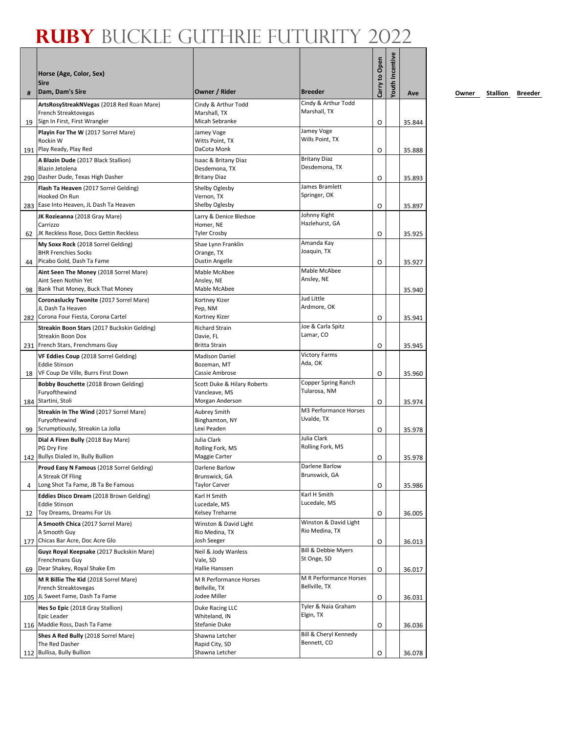| #   | Horse (Age, Color, Sex)<br><b>Sire</b><br>Dam, Dam's Sire                                        | Owner / Rider                                                | <b>Breeder</b>                       | Carry to Open | <b>routh Incentive</b> | Ave    |
|-----|--------------------------------------------------------------------------------------------------|--------------------------------------------------------------|--------------------------------------|---------------|------------------------|--------|
|     | ArtsRosyStreakNVegas (2018 Red Roan Mare)                                                        | Cindy & Arthur Todd                                          | Cindy & Arthur Todd                  |               |                        |        |
| 19  | French Streaktovegas<br>Sign In First, First Wrangler                                            | Marshall, TX<br>Micah Sebranke                               | Marshall, TX                         | O             |                        | 35.844 |
|     | Playin For The W (2017 Sorrel Mare)<br>Rockin W                                                  | Jamey Voge<br>Witts Point, TX                                | Jamey Voge<br>Wills Point, TX        |               |                        |        |
|     | 191 Play Ready, Play Red                                                                         | DaCota Monk                                                  |                                      | O             |                        | 35.888 |
|     | A Blazin Dude (2017 Black Stallion)<br>Blazin Jetolena<br>290 Dasher Dude, Texas High Dasher     | Isaac & Britany Diaz<br>Desdemona, TX<br><b>Britany Diaz</b> | <b>Britany Diaz</b><br>Desdemona, TX | O             |                        | 35.893 |
|     | Flash Ta Heaven (2017 Sorrel Gelding)<br>Hooked On Run                                           | Shelby Oglesby<br>Vernon, TX                                 | James Bramlett<br>Springer, OK       |               |                        |        |
|     | 283 Ease Into Heaven, JL Dash Ta Heaven                                                          | Shelby Oglesby                                               |                                      | O             |                        | 35.897 |
| 62  | JK Rozieanna (2018 Gray Mare)<br>Carrizzo<br>JK Reckless Rose, Docs Gettin Reckless              | Larry & Denice Bledsoe<br>Homer, NE<br><b>Tyler Crosby</b>   | Johnny Kight<br>Hazlehurst, GA       | O             |                        |        |
|     | My Soxx Rock (2018 Sorrel Gelding)                                                               | Shae Lynn Franklin                                           | Amanda Kay                           |               |                        | 35.925 |
| 44  | <b>BHR Frenchies Socks</b><br>Picabo Gold, Dash Ta Fame                                          | Orange, TX<br>Dustin Angelle                                 | Joaquin, TX                          | O             |                        | 35.927 |
|     | Aint Seen The Money (2018 Sorrel Mare)                                                           | Mable McAbee                                                 | Mable McAbee                         |               |                        |        |
| 98  | Aint Seen Nothin Yet<br>Bank That Money, Buck That Money                                         | Ansley, NE<br>Mable McAbee                                   | Ansley, NE                           |               |                        | 35.940 |
|     | Coronaslucky Twonite (2017 Sorrel Mare)                                                          | Kortney Kizer                                                | Jud Little                           |               |                        |        |
|     | JL Dash Ta Heaven<br>282 Corona Four Fiesta, Corona Cartel                                       | Pep, NM<br>Kortney Kizer                                     | Ardmore, OK                          | O             |                        | 35.941 |
|     | Streakin Boon Stars (2017 Buckskin Gelding)                                                      | <b>Richard Strain</b>                                        | Joe & Carla Spitz                    |               |                        |        |
|     | Streakin Boon Dox                                                                                | Davie, FL                                                    | Lamar, CO                            |               |                        |        |
|     | 231 French Stars, Frenchmans Guy                                                                 | <b>Britta Strain</b>                                         | <b>Victory Farms</b>                 | O             |                        | 35.945 |
|     | VF Eddies Coup (2018 Sorrel Gelding)<br><b>Eddie Stinson</b>                                     | <b>Madison Daniel</b><br>Bozeman, MT                         | Ada, OK                              |               |                        |        |
|     | 18   VF Coup De Ville, Burrs First Down                                                          | Cassie Ambrose                                               |                                      | O             |                        | 35.960 |
|     | Bobby Bouchette (2018 Brown Gelding)<br>Furyofthewind                                            | Scott Duke & Hilary Roberts<br>Vancleave, MS                 | Copper Spring Ranch<br>Tularosa, NM  |               |                        |        |
|     | 184 Startini, Stoli                                                                              | Morgan Anderson                                              |                                      | O             |                        | 35.974 |
| 99  | Streakin In The Wind (2017 Sorrel Mare)<br>Furyofthewind<br>Scrumptiously, Streakin La Jolla     | Aubrey Smith<br>Binghamton, NY<br>Lexi Peaden                | M3 Performance Horses<br>Uvalde, TX  | O             |                        | 35.978 |
|     | Dial A Firen Bully (2018 Bay Mare)                                                               | Julia Clark                                                  | Julia Clark                          |               |                        |        |
|     | PG Dry Fire<br>142 Bullys Dialed In, Bully Bullion                                               | Rolling Fork, MS<br>Maggie Carter                            | Rolling Fork, MS                     | O             |                        | 35.978 |
|     | Proud Easy N Famous (2018 Sorrel Gelding)                                                        | Darlene Barlow                                               | Darlene Barlow                       |               |                        |        |
| 4   | A Streak Of Fling<br>Long Shot Ta Fame, JB Ta Be Famous                                          | Brunswick, GA<br><b>Taylor Carver</b>                        | Brunswick, GA                        | O             |                        | 35.986 |
|     | Eddies Disco Dream (2018 Brown Gelding)                                                          | Karl H Smith                                                 | Karl H Smith                         |               |                        |        |
|     | <b>Eddie Stinson</b>                                                                             | Lucedale, MS                                                 | Lucedale, MS                         |               |                        |        |
| 12  | Toy Dreams, Dreams For Us                                                                        | Kelsey Treharne                                              | Winston & David Light                | O             |                        | 36.005 |
|     | A Smooth Chica (2017 Sorrel Mare)<br>A Smooth Guy                                                | Winston & David Light<br>Rio Medina, TX                      | Rio Medina, TX                       |               |                        |        |
| 177 | Chicas Bar Acre, Doc Acre Glo                                                                    | Josh Seeger                                                  |                                      | O             |                        | 36.013 |
|     | Guyz Royal Keepsake (2017 Buckskin Mare)<br>Frenchmans Guy                                       | Neil & Jody Wanless<br>Vale, SD                              | Bill & Debbie Myers<br>St Onge, SD   |               |                        |        |
| 69  | Dear Shakey, Royal Shake Em                                                                      | Hallie Hanssen                                               | M R Performance Horses               | O             |                        | 36.017 |
|     | M R Billie The Kid (2018 Sorrel Mare)<br>French Streaktovegas<br>105 JL Sweet Fame, Dash Ta Fame | M R Performance Horses<br>Bellville, TX<br>Jodee Miller      | Bellville, TX                        |               |                        |        |
|     |                                                                                                  |                                                              | Tyler & Naia Graham                  | O             |                        | 36.031 |
|     | Hes So Epic (2018 Gray Stallion)<br>Epic Leader<br>116 Maddie Ross, Dash Ta Fame                 | Duke Racing LLC<br>Whiteland, IN<br>Stefanie Duke            | Elgin, TX                            | O             |                        | 36.036 |
|     | Shes A Red Bully (2018 Sorrel Mare)                                                              | Shawna Letcher                                               | Bill & Cheryl Kennedy                |               |                        |        |
|     | The Red Dasher                                                                                   | Rapid City, SD                                               | Bennett, CO                          |               |                        |        |
|     | 112 Bullisa, Bully Bullion                                                                       | Shawna Letcher                                               |                                      | O             |                        | 36.078 |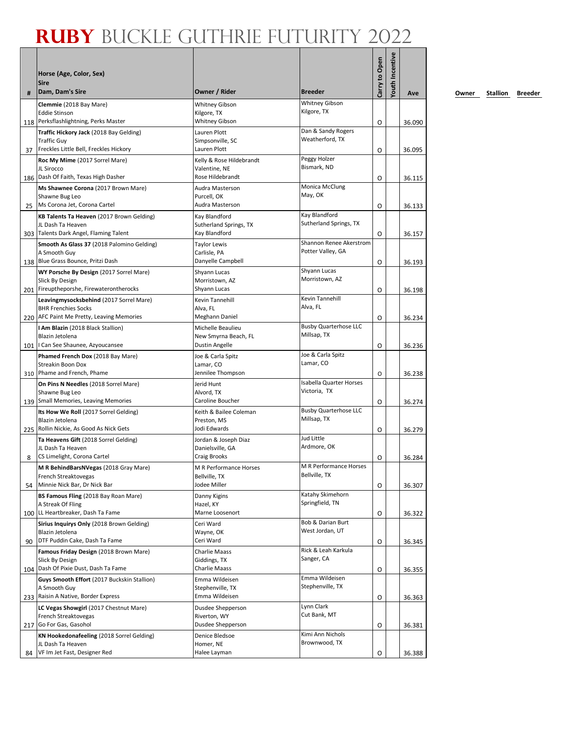| #  | Horse (Age, Color, Sex)<br><b>Sire</b><br>Dam, Dam's Sire                                                                                    | Owner / Rider                                                       | <b>Breeder</b>                                 | Carry to Open | <b>/outh Incentive</b> | Ave              |
|----|----------------------------------------------------------------------------------------------------------------------------------------------|---------------------------------------------------------------------|------------------------------------------------|---------------|------------------------|------------------|
|    | Clemmie (2018 Bay Mare)                                                                                                                      | <b>Whitney Gibson</b>                                               | <b>Whitney Gibson</b>                          |               |                        |                  |
|    | <b>Eddie Stinson</b><br>118 Perksflashlightning, Perks Master                                                                                | Kilgore, TX<br><b>Whitney Gibson</b>                                | Kilgore, TX                                    | O             |                        | 36.090           |
| 37 | Traffic Hickory Jack (2018 Bay Gelding)<br><b>Traffic Guy</b><br>Freckles Little Bell, Freckles Hickory                                      | Lauren Plott<br>Simpsonville, SC<br>Lauren Plott                    | Dan & Sandy Rogers<br>Weatherford, TX          | O             |                        | 36.095           |
|    | Roc My Mime (2017 Sorrel Mare)<br>JL Sirocco<br>186 Dash Of Faith, Texas High Dasher                                                         | Kelly & Rose Hildebrandt<br>Valentine, NE<br>Rose Hildebrandt       | Peggy Holzer<br>Bismark, ND                    | O             |                        | 36.115           |
| 25 | Ms Shawnee Corona (2017 Brown Mare)<br>Shawne Bug Leo<br>Ms Corona Jet, Corona Cartel                                                        | Audra Masterson<br>Purcell, OK<br>Audra Masterson                   | Monica McClung<br>May, OK                      | O             |                        | 36.133           |
|    | KB Talents Ta Heaven (2017 Brown Gelding)<br>JL Dash Ta Heaven<br>303 Talents Dark Angel, Flaming Talent                                     | Kay Blandford<br>Sutherland Springs, TX<br>Kay Blandford            | Kay Blandford<br>Sutherland Springs, TX        | O             |                        | 36.157           |
|    | Smooth As Glass 37 (2018 Palomino Gelding)<br>A Smooth Guy                                                                                   | <b>Taylor Lewis</b><br>Carlisle, PA                                 | Shannon Renee Akerstrom<br>Potter Valley, GA   |               |                        |                  |
|    | 138 Blue Grass Bounce, Pritzi Dash<br>WY Porsche By Design (2017 Sorrel Mare)<br>Slick By Design<br>201 Fireuptheporshe, Firewaterontherocks | Danyelle Campbell<br>Shyann Lucas<br>Morristown, AZ<br>Shyann Lucas | Shyann Lucas<br>Morristown, AZ                 | O<br>O        |                        | 36.193<br>36.198 |
|    | Leavingmysocksbehind (2017 Sorrel Mare)<br><b>BHR Frenchies Socks</b><br>220 AFC Paint Me Pretty, Leaving Memories                           | Kevin Tannehill<br>Alva. FL<br>Meghann Daniel                       | Kevin Tannehill<br>Alva, FL                    | O             |                        | 36.234           |
|    | I Am Blazin (2018 Black Stallion)<br>Blazin Jetolena<br>101   Can See Shaunee, Azyoucansee                                                   | Michelle Beaulieu<br>New Smyrna Beach, FL<br><b>Dustin Angelle</b>  | <b>Busby Quarterhose LLC</b><br>Millsap, TX    | O             |                        | 36.236           |
|    | Phamed French Dox (2018 Bay Mare)<br>Streakin Boon Dox<br>310 Phame and French, Phame                                                        | Joe & Carla Spitz<br>Lamar, CO<br>Jennilee Thompson                 | Joe & Carla Spitz<br>Lamar, CO                 | O             |                        |                  |
|    | On Pins N Needles (2018 Sorrel Mare)<br>Shawne Bug Leo<br>139 Small Memories, Leaving Memories                                               | Jerid Hunt<br>Alvord, TX<br>Caroline Boucher                        | <b>Isabella Quarter Horses</b><br>Victoria, TX |               |                        | 36.238           |
|    | Its How We Roll (2017 Sorrel Gelding)<br>Blazin Jetolena<br>225 Rollin Nickie, As Good As Nick Gets                                          | Keith & Bailee Coleman<br>Preston, MS<br>Jodi Edwards               | <b>Busby Quarterhose LLC</b><br>Millsap, TX    | 0<br>O        |                        | 36.274<br>36.279 |
| 8  | Ta Heavens Gift (2018 Sorrel Gelding)<br>JL Dash Ta Heaven<br>CS Limelight, Corona Cartel                                                    | Jordan & Joseph Diaz<br>Danielsville, GA<br><b>Craig Brooks</b>     | <b>Jud Little</b><br>Ardmore, OK               | O             |                        | 36.284           |
| 54 | M R BehindBarsNVegas (2018 Gray Mare)<br>French Streaktovegas<br>Minnie Nick Bar, Dr Nick Bar                                                | M R Performance Horses<br>Bellville, TX<br>Jodee Miller             | M R Performance Horses<br>Bellville, TX        | O             |                        | 36.307           |
|    | BS Famous Fling (2018 Bay Roan Mare)<br>A Streak Of Fling<br>100 LL Heartbreaker, Dash Ta Fame                                               | Danny Kigins<br>Hazel, KY<br>Marne Loosenort                        | Katahy Skimehorn<br>Springfield, TN            | O             |                        | 36.322           |
| 90 | Sirius Inquirys Only (2018 Brown Gelding)<br>Blazin Jetolena<br>DTF Puddin Cake, Dash Ta Fame                                                | Ceri Ward<br>Wayne, OK<br>Ceri Ward                                 | Bob & Darian Burt<br>West Jordan, UT           | O             |                        | 36.345           |
|    | Famous Friday Design (2018 Brown Mare)<br>Slick By Design<br>104 Dash Of Pixie Dust, Dash Ta Fame                                            | <b>Charlie Maass</b><br>Giddings, TX<br><b>Charlie Maass</b>        | Rick & Leah Karkula<br>Sanger, CA              | O             |                        | 36.355           |
|    | Guys Smooth Effort (2017 Buckskin Stallion)<br>A Smooth Guy<br>233 Raisin A Native, Border Express                                           | Emma Wildeisen<br>Stephenville, TX<br>Emma Wildeisen                | Emma Wildeisen<br>Stephenville, TX             | O             |                        | 36.363           |
|    | LC Vegas Showgirl (2017 Chestnut Mare)<br>French Streaktovegas<br>217 Go For Gas, Gasohol                                                    | Dusdee Shepperson<br>Riverton, WY<br>Dusdee Shepperson              | Lynn Clark<br>Cut Bank, MT                     | O             |                        |                  |
|    | KN Hookedonafeeling (2018 Sorrel Gelding)<br>JL Dash Ta Heaven                                                                               | Denice Bledsoe<br>Homer, NE                                         | Kimi Ann Nichols<br>Brownwood, TX              |               |                        | 36.381           |
| 84 | VF Im Jet Fast, Designer Red                                                                                                                 | Halee Layman                                                        |                                                | O             |                        | 36.388           |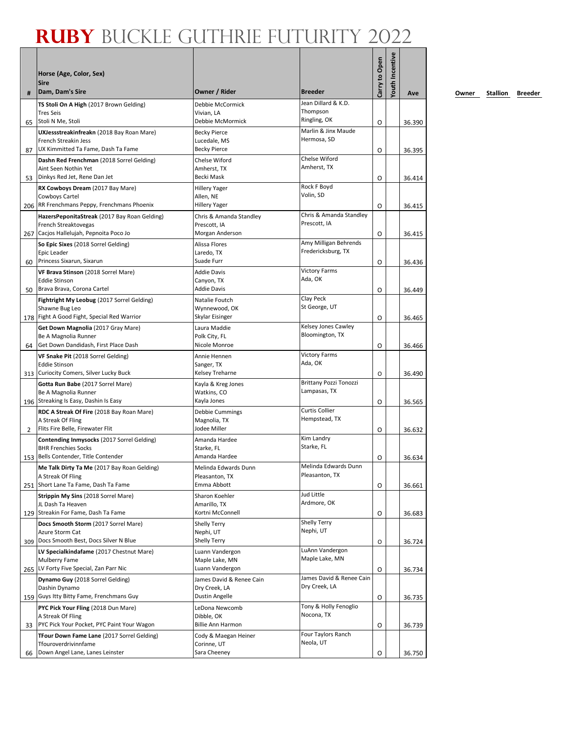|     | Horse (Age, Color, Sex)<br><b>Sire</b>                                          |                                         |                                         | Carry to Open | Youth Incentive |        |
|-----|---------------------------------------------------------------------------------|-----------------------------------------|-----------------------------------------|---------------|-----------------|--------|
| #   | Dam, Dam's Sire                                                                 | Owner / Rider                           | <b>Breeder</b><br>Jean Dillard & K.D.   |               |                 | Ave    |
|     | TS Stoli On A High (2017 Brown Gelding)<br><b>Tres Seis</b>                     | Debbie McCormick<br>Vivian. LA          | Thompson                                |               |                 |        |
| 65  | Stoli N Me, Stoli                                                               | Debbie McMormick                        | Ringling, OK                            | O             |                 | 36.390 |
|     | UXJessstreakinfreakn (2018 Bay Roan Mare)                                       | <b>Becky Pierce</b>                     | Marlin & Jinx Maude                     |               |                 |        |
|     | French Streakin Jess                                                            | Lucedale, MS                            | Hermosa, SD                             |               |                 |        |
| 87  | UX Kimmitted Ta Fame, Dash Ta Fame                                              | <b>Becky Pierce</b>                     | Chelse Wiford                           | 0             |                 | 36.395 |
|     | Dashn Red Frenchman (2018 Sorrel Gelding)<br>Aint Seen Nothin Yet               | Chelse Wiford<br>Amherst, TX            | Amherst, TX                             |               |                 |        |
| 53  | Dinkys Red Jet, Rene Dan Jet                                                    | Becki Mask                              |                                         | 0             |                 | 36.414 |
|     | RX Cowboys Dream (2017 Bay Mare)                                                | <b>Hillery Yager</b>                    | Rock F Boyd                             |               |                 |        |
|     | Cowboys Cartel                                                                  | Allen, NE                               | Volin, SD                               |               |                 |        |
|     | 206 RR Frenchmans Peppy, Frenchmans Phoenix                                     | <b>Hillery Yager</b>                    |                                         | O             |                 | 36.415 |
|     | HazersPeponitaStreak (2017 Bay Roan Gelding)<br>French Streaktovegas            | Chris & Amanda Standley<br>Prescott, IA | Chris & Amanda Standley<br>Prescott, IA |               |                 |        |
|     | 267 Cacjos Hallelujah, Pepnoita Poco Jo                                         | Morgan Anderson                         |                                         | O             |                 | 36.415 |
|     | So Epic Sixes (2018 Sorrel Gelding)                                             | Alissa Flores                           | Amy Milligan Behrends                   |               |                 |        |
|     | Epic Leader                                                                     | Laredo, TX                              | Fredericksburg, TX                      |               |                 |        |
| 60  | Princess Sixarun, Sixarun                                                       | Suade Furr                              |                                         | O             |                 | 36.436 |
|     | VF Brava Stinson (2018 Sorrel Mare)<br><b>Eddie Stinson</b>                     | <b>Addie Davis</b><br>Canyon, TX        | <b>Victory Farms</b><br>Ada, OK         |               |                 |        |
| 50  | Brava Brava, Corona Cartel                                                      | <b>Addie Davis</b>                      |                                         | O             |                 | 36.449 |
|     | Fightright My Leobug (2017 Sorrel Gelding)                                      | Natalie Foutch                          | Clay Peck                               |               |                 |        |
|     | Shawne Bug Leo                                                                  | Wynnewood, OK                           | St George, UT                           |               |                 |        |
|     | 178 Fight A Good Fight, Special Red Warrior                                     | Skylar Eisinger                         |                                         | O             |                 | 36.465 |
|     | Get Down Magnolia (2017 Gray Mare)<br>Be A Magnolia Runner                      | Laura Maddie<br>Polk City, FL           | Kelsey Jones Cawley<br>Bloomington, TX  |               |                 |        |
| 64  | Get Down Dandidash, First Place Dash                                            | Nicole Monroe                           |                                         | 0             |                 | 36.466 |
|     | VF Snake Pit (2018 Sorrel Gelding)                                              | Annie Hennen                            | <b>Victory Farms</b>                    |               |                 |        |
|     | <b>Eddie Stinson</b>                                                            | Sanger, TX                              | Ada, OK                                 |               |                 |        |
|     | 313 Curiocity Comers, Silver Lucky Buck                                         | Kelsey Treharne                         |                                         | O             |                 | 36.490 |
|     | Gotta Run Babe (2017 Sorrel Mare)<br>Be A Magnolia Runner                       | Kayla & Kreg Jones<br>Watkins, CO       | Brittany Pozzi Tonozzi<br>Lampasas, TX  |               |                 |        |
|     | 196 Streaking Is Easy, Dashin Is Easy                                           | Kayla Jones                             |                                         | O             |                 | 36.565 |
|     | RDC A Streak Of Fire (2018 Bay Roan Mare)                                       | Debbie Cummings                         | <b>Curtis Collier</b>                   |               |                 |        |
|     | A Streak Of Fling                                                               | Magnolia, TX                            | Hempstead, TX                           |               |                 |        |
| 2   | Flits Fire Belle, Firewater Flit                                                | Jodee Miller                            |                                         | O             |                 | 36.632 |
|     | Contending Inmysocks (2017 Sorrel Gelding)<br><b>BHR Frenchies Socks</b>        | Amanda Hardee<br>Starke, FL             | Kim Landry<br>Starke, FL                |               |                 |        |
|     | 153 Bells Contender, Title Contender                                            | Amanda Hardee                           |                                         | O             |                 | 36.634 |
|     | Me Talk Dirty Ta Me (2017 Bay Roan Gelding)                                     | Melinda Edwards Dunn                    | Melinda Edwards Dunn                    |               |                 |        |
|     | A Streak Of Fling                                                               | Pleasanton, TX<br>Emma Abbott           | Pleasanton, TX                          |               |                 |        |
| 251 | Short Lane Ta Fame, Dash Ta Fame                                                | Sharon Koehler                          | Jud Little                              | O             |                 | 36.661 |
|     | Strippin My Sins (2018 Sorrel Mare)<br>JL Dash Ta Heaven                        | Amarillo, TX                            | Ardmore, OK                             |               |                 |        |
|     | 129 Streakin For Fame, Dash Ta Fame                                             | Kortni McConnell                        |                                         | O             |                 | 36.683 |
|     | Docs Smooth Storm (2017 Sorrel Mare)                                            | Shelly Terry                            | Shelly Terry                            |               |                 |        |
|     | Azure Storm Cat<br>309 Docs Smooth Best, Docs Silver N Blue                     | Nephi, UT                               | Nephi, UT                               |               |                 |        |
|     |                                                                                 | <b>Shelly Terry</b>                     | LuAnn Vandergon                         | O             |                 | 36.724 |
|     | LV Specialkindafame (2017 Chestnut Mare)<br>Mulberry Fame                       | Luann Vandergon<br>Maple Lake, MN       | Maple Lake, MN                          |               |                 |        |
|     | 265 LV Forty Five Special, Zan Parr Nic                                         | Luann Vandergon                         |                                         | 0             |                 | 36.734 |
|     | Dynamo Guy (2018 Sorrel Gelding)                                                | James David & Renee Cain                | James David & Renee Cain                |               |                 |        |
|     | Dashin Dynamo                                                                   | Dry Creek, LA                           | Dry Creek, LA                           |               |                 |        |
|     | 159 Guys Itty Bitty Fame, Frenchmans Guy<br>PYC Pick Your Fling (2018 Dun Mare) | Dustin Angelle<br>LeDona Newcomb        | Tony & Holly Fenoglio                   | O             |                 | 36.735 |
|     | A Streak Of Fling                                                               | Dibble, OK                              | Nocona, TX                              |               |                 |        |
| 33  | PYC Pick Your Pocket, PYC Paint Your Wagon                                      | <b>Billie Ann Harmon</b>                |                                         | O             |                 | 36.739 |
|     | TFour Down Fame Lane (2017 Sorrel Gelding)                                      | Cody & Maegan Heiner                    | Four Taylors Ranch                      |               |                 |        |
|     | Tfouroverdrivinnfame<br>Down Angel Lane, Lanes Leinster                         | Corinne, UT<br>Sara Cheeney             | Neola, UT                               |               |                 |        |
| 66  |                                                                                 |                                         |                                         | 0             |                 | 36.750 |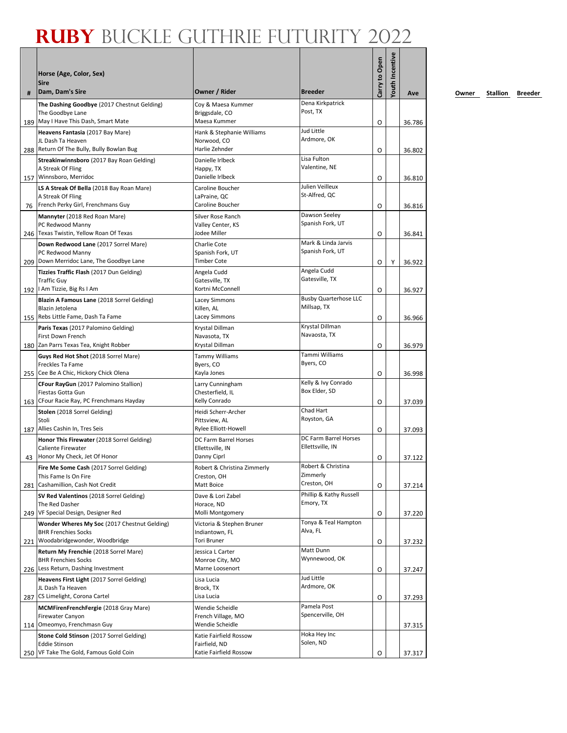| #   | Horse (Age, Color, Sex)<br><b>Sire</b><br>Dam, Dam's Sire           | Owner / Rider                             | <b>Breeder</b>                          | Carry to Open | <b>Youth Incentive</b> | Ave    |
|-----|---------------------------------------------------------------------|-------------------------------------------|-----------------------------------------|---------------|------------------------|--------|
|     | The Dashing Goodbye (2017 Chestnut Gelding)                         | Coy & Maesa Kummer                        | Dena Kirkpatrick                        |               |                        |        |
|     | The Goodbye Lane                                                    | Briggsdale, CO                            | Post, TX                                |               |                        |        |
|     | 189   May I Have This Dash, Smart Mate                              | Maesa Kummer                              |                                         | O             |                        | 36.786 |
|     | Heavens Fantasia (2017 Bay Mare)                                    | Hank & Stephanie Williams                 | Jud Little<br>Ardmore, OK               |               |                        |        |
|     | JL Dash Ta Heaven<br>288 Return Of The Bully, Bully Bowlan Bug      | Norwood, CO<br>Harlie Zehnder             |                                         | O             |                        | 36.802 |
|     | Streakinwinnsboro (2017 Bay Roan Gelding)                           | Danielle Irlbeck                          | Lisa Fulton                             |               |                        |        |
|     | A Streak Of Fling                                                   | Happy, TX                                 | Valentine, NE                           |               |                        |        |
|     | 157 Winnsboro, Merridoc                                             | Danielle Irlbeck                          |                                         | O             |                        | 36.810 |
|     | LS A Streak Of Bella (2018 Bay Roan Mare)                           | Caroline Boucher                          | Julien Veilleux<br>St-Alfred, QC        |               |                        |        |
|     | A Streak Of Fling<br>76 French Perky Girl, Frenchmans Guy           | LaPraine, QC<br>Caroline Boucher          |                                         | O             |                        | 36.816 |
|     | Mannyter (2018 Red Roan Mare)                                       | Silver Rose Ranch                         | Dawson Seeley                           |               |                        |        |
|     | PC Redwood Manny                                                    | Valley Center, KS                         | Spanish Fork, UT                        |               |                        |        |
|     | 246 Texas Twistin, Yellow Roan Of Texas                             | Jodee Miller                              |                                         | O             |                        | 36.841 |
|     | Down Redwood Lane (2017 Sorrel Mare)                                | Charlie Cote                              | Mark & Linda Jarvis<br>Spanish Fork, UT |               |                        |        |
|     | PC Redwood Manny<br>209 Down Merridoc Lane, The Goodbye Lane        | Spanish Fork, UT<br><b>Timber Cote</b>    |                                         | O             | Υ                      | 36.922 |
|     | Tizzies Traffic Flash (2017 Dun Gelding)                            | Angela Cudd                               | Angela Cudd                             |               |                        |        |
|     | <b>Traffic Guy</b>                                                  | Gatesville, TX                            | Gatesville, TX                          |               |                        |        |
|     | 192   Am Tizzie, Big Rs I Am                                        | Kortni McConnell                          |                                         | O             |                        | 36.927 |
|     | Blazin A Famous Lane (2018 Sorrel Gelding)                          | <b>Lacey Simmons</b>                      | <b>Busby Quarterhose LLC</b>            |               |                        |        |
|     | Blazin Jetolena<br>155 Rebs Little Fame, Dash Ta Fame               | Killen, AL<br><b>Lacey Simmons</b>        | Millsap, TX                             |               |                        |        |
|     | Paris Texas (2017 Palomino Gelding)                                 | Krystal Dillman                           | Krystal Dillman                         | O             |                        | 36.966 |
|     | First Down French                                                   | Navasota, TX                              | Navaosta, TX                            |               |                        |        |
|     | 180 Zan Parrs Texas Tea, Knight Robber                              | Krystal Dillman                           |                                         | O             |                        | 36.979 |
|     | Guys Red Hot Shot (2018 Sorrel Mare)                                | <b>Tammy Williams</b>                     | Tammi Williams                          |               |                        |        |
|     | Freckles Ta Fame<br>255 Cee Be A Chic, Hickory Chick Olena          | Byers, CO                                 | Byers, CO                               |               |                        |        |
|     |                                                                     | Kayla Jones                               | Kelly & Ivy Conrado                     | O             |                        | 36.998 |
|     | CFour RayGun (2017 Palomino Stallion)<br>Fiestas Gotta Gun          | Larry Cunningham<br>Chesterfield, IL      | Box Elder, SD                           |               |                        |        |
|     | 163 CFour Racie Ray, PC Frenchmans Hayday                           | Kelly Conrado                             |                                         | O             |                        | 37.039 |
|     | Stolen (2018 Sorrel Gelding)                                        | Heidi Scherr-Archer                       | Chad Hart                               |               |                        |        |
|     | Stoli                                                               | Pittsview, AL                             | Royston, GA                             |               |                        |        |
|     | 187 Allies Cashin In, Tres Seis                                     | <b>Rylee Elliott-Howell</b>               | DC Farm Barrel Horses                   | O             |                        | 37.093 |
|     | Honor This Firewater (2018 Sorrel Gelding)<br>Caliente Firewater    | DC Farm Barrel Horses<br>Ellettsville, IN | Ellettsville, IN                        |               |                        |        |
| 43  | Honor My Check, Jet Of Honor                                        | Danny Ciprl                               |                                         | O             |                        | 37.122 |
|     | Fire Me Some Cash (2017 Sorrel Gelding)                             | Robert & Christina Zimmerly               | Robert & Christina                      |               |                        |        |
|     | This Fame Is On Fire                                                | Creston, OH<br>Matt Boice                 | Zimmerly<br>Creston, OH                 |               |                        |        |
|     | 281 Cashamillion, Cash Not Credit                                   |                                           | Phillip & Kathy Russell                 | O             |                        | 37.214 |
|     | SV Red Valentinos (2018 Sorrel Gelding)<br>The Red Dasher           | Dave & Lori Zabel<br>Horace, ND           | Emory, TX                               |               |                        |        |
|     | 249 VF Special Design, Designer Red                                 | Molli Montgomery                          |                                         | O             |                        | 37.220 |
|     | Wonder Wheres My Soc (2017 Chestnut Gelding)                        | Victoria & Stephen Bruner                 | Tonya & Teal Hampton                    |               |                        |        |
|     | <b>BHR Frenchies Socks</b>                                          | Indiantown, FL                            | Alva, FL                                |               |                        |        |
|     | 221 Woodabridgewonder, Woodbridge                                   | <b>Tori Bruner</b>                        | Matt Dunn                               | O             |                        | 37.232 |
|     | Return My Frenchie (2018 Sorrel Mare)<br><b>BHR Frenchies Socks</b> | Jessica L Carter<br>Monroe City, MO       | Wynnewood, OK                           |               |                        |        |
|     | 226 Less Return, Dashing Investment                                 | Marne Loosenort                           |                                         | O             |                        | 37.247 |
|     | Heavens First Light (2017 Sorrel Gelding)                           | Lisa Lucia                                | Jud Little                              |               |                        |        |
|     | JL Dash Ta Heaven                                                   | Brock, TX                                 | Ardmore, OK                             |               |                        |        |
| 287 | CS Limelight, Corona Cartel                                         | Lisa Lucia                                | Pamela Post                             | O             |                        | 37.293 |
|     | MCMFirenFrenchFergie (2018 Gray Mare)<br><b>Firewater Canyon</b>    | Wendie Scheidle<br>French Village, MO     | Spencerville, OH                        |               |                        |        |
|     | 114 Omeomyo, Frenchmasn Guy                                         | Wendie Scheidle                           |                                         |               |                        | 37.315 |
|     | Stone Cold Stinson (2017 Sorrel Gelding)                            | Katie Fairfield Rossow                    | Hoka Hey Inc                            |               |                        |        |
|     | <b>Eddie Stinson</b>                                                | Fairfield, ND                             | Solen, ND                               |               |                        |        |
|     | 250 VF Take The Gold, Famous Gold Coin                              | Katie Fairfield Rossow                    |                                         | O             |                        | 37.317 |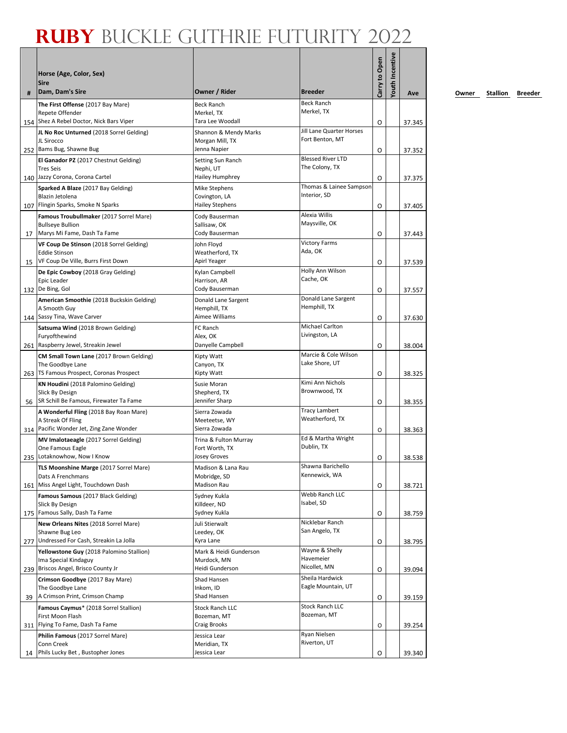|    | Horse (Age, Color, Sex)<br><b>Sire</b>                                                                  |                                                          |                                            | Carry to Open | <b>Youth Incentive</b> |        |
|----|---------------------------------------------------------------------------------------------------------|----------------------------------------------------------|--------------------------------------------|---------------|------------------------|--------|
| #  | Dam, Dam's Sire                                                                                         | Owner / Rider                                            | <b>Breeder</b>                             |               |                        | Ave    |
|    | The First Offense (2017 Bay Mare)<br>Repete Offender                                                    | <b>Beck Ranch</b><br>Merkel, TX                          | <b>Beck Ranch</b><br>Merkel, TX            |               |                        |        |
|    | 154 Shez A Rebel Doctor, Nick Bars Viper                                                                | Tara Lee Woodall                                         | Jill Lane Quarter Horses                   | O             |                        | 37.345 |
|    | JL No Roc Unturned (2018 Sorrel Gelding)<br>JL Sirocco<br>252 Bams Bug, Shawne Bug                      | Shannon & Mendy Marks<br>Morgan Mill, TX<br>Jenna Napier | Fort Benton, MT                            | O             |                        | 37.352 |
|    | El Ganador PZ (2017 Chestnut Gelding)<br><b>Tres Seis</b><br>140 Jazzy Corona, Corona Cartel            | Setting Sun Ranch<br>Nephi, UT<br>Hailey Humphrey        | <b>Blessed River LTD</b><br>The Colony, TX |               |                        |        |
|    | Sparked A Blaze (2017 Bay Gelding)<br>Blazin Jetolena                                                   | Mike Stephens<br>Covington, LA                           | Thomas & Lainee Sampson<br>Interior, SD    | O             |                        | 37.375 |
|    | 107 Flingin Sparks, Smoke N Sparks                                                                      | Hailey Stephens                                          |                                            | O             |                        | 37.405 |
|    | Famous Troubullmaker (2017 Sorrel Mare)<br><b>Bullseye Bullion</b>                                      | Cody Bauserman<br>Sallisaw, OK                           | Alexia Willis<br>Maysville, OK             |               |                        |        |
| 17 | Marys Mi Fame, Dash Ta Fame                                                                             | Cody Bauserman                                           | <b>Victory Farms</b>                       | O             |                        | 37.443 |
| 15 | VF Coup De Stinson (2018 Sorrel Gelding)<br><b>Eddie Stinson</b><br>VF Coup De Ville, Burrs First Down  | John Floyd<br>Weatherford, TX<br>Apirl Yeager            | Ada, OK                                    | O             |                        | 37.539 |
|    | De Epic Cowboy (2018 Gray Gelding)<br>Epic Leader                                                       | Kylan Campbell<br>Harrison, AR                           | Holly Ann Wilson<br>Cache, OK              |               |                        |        |
|    | 132 De Bing, Gol                                                                                        | Cody Bauserman                                           | Donald Lane Sargent                        | O             |                        | 37.557 |
|    | American Smoothie (2018 Buckskin Gelding)<br>A Smooth Guy<br>144 Sassy Tina, Wave Carver                | Donald Lane Sargent<br>Hemphill, TX<br>Aimee Williams    | Hemphill, TX                               | O             |                        | 37.630 |
|    | Satsuma Wind (2018 Brown Gelding)                                                                       | FC Ranch                                                 | <b>Michael Carlton</b>                     |               |                        |        |
|    | Furyofthewind                                                                                           | Alex, OK                                                 | Livingston, LA                             |               |                        |        |
|    | 261 Raspberry Jewel, Streakin Jewel                                                                     | Danyelle Campbell                                        | Marcie & Cole Wilson                       | O             |                        | 38.004 |
|    | CM Small Town Lane (2017 Brown Gelding)<br>The Goodbye Lane<br>263 TS Famous Prospect, Coronas Prospect | Kipty Watt<br>Canyon, TX<br>Kipty Watt                   | Lake Shore, UT                             | O             |                        | 38.325 |
|    | KN Houdini (2018 Palomino Gelding)<br>Slick By Design                                                   | Susie Moran<br>Shepherd, TX                              | Kimi Ann Nichols<br>Brownwood, TX          |               |                        |        |
|    | 56   SR Schill Be Famous, Firewater Ta Fame                                                             | Jennifer Sharp                                           |                                            | O             |                        | 38.355 |
|    | A Wonderful Fling (2018 Bay Roan Mare)<br>A Streak Of Fling<br>314 Pacific Wonder Jet, Zing Zane Wonder | Sierra Zowada<br>Meeteetse, WY<br>Sierra Zowada          | <b>Tracy Lambert</b><br>Weatherford, TX    | O             |                        | 38.363 |
|    | MV Imalotaeagle (2017 Sorrel Gelding)<br>One Famous Eagle                                               | Trina & Fulton Murray<br>Fort Worth, TX                  | Ed & Martha Wright<br>Dublin, TX           |               |                        |        |
|    | 235 Lotaknowhow, Now I Know                                                                             | Josey Groves                                             |                                            | O             |                        | 38.538 |
|    | TLS Moonshine Marge (2017 Sorrel Mare)<br>Dats A Frenchmans                                             | Madison & Lana Rau<br>Mobridge, SD                       | Shawna Barichello<br>Kennewick, WA         |               |                        |        |
|    | 161 Miss Angel Light, Touchdown Dash                                                                    | <b>Madison Rau</b>                                       | Webb Ranch LLC                             | O             |                        | 38.721 |
|    | Famous Samous (2017 Black Gelding)<br>Slick By Design<br>175 Famous Sally, Dash Ta Fame                 | Sydney Kukla<br>Killdeer, ND<br>Sydney Kukla             | Isabel, SD                                 | O             |                        | 38.759 |
|    | New Orleans Nites (2018 Sorrel Mare)                                                                    | Juli Stierwalt                                           | Nicklebar Ranch                            |               |                        |        |
|    | Shawne Bug Leo<br>277 Undressed For Cash, Streakin La Jolla                                             | Leedey, OK<br>Kyra Lane                                  | San Angelo, TX                             | O             |                        | 38.795 |
|    | Yellowstone Guy (2018 Palomino Stallion)                                                                | Mark & Heidi Gunderson                                   | Wayne & Shelly                             |               |                        |        |
|    | Ima Special Kindaguy<br>239 Briscos Angel, Brisco County Jr                                             | Murdock, MN<br>Heidi Gunderson                           | Havemeier<br>Nicollet, MN                  | O             |                        | 39.094 |
|    | Crimson Goodbye (2017 Bay Mare)                                                                         | Shad Hansen                                              | Sheila Hardwick                            |               |                        |        |
| 39 | The Goodbye Lane<br>A Crimson Print, Crimson Champ                                                      | Inkom, ID<br>Shad Hansen                                 | Eagle Mountain, UT                         | O             |                        | 39.159 |
|    | Famous Caymus* (2018 Sorrel Stallion)<br>First Moon Flash                                               | <b>Stock Ranch LLC</b>                                   | <b>Stock Ranch LLC</b><br>Bozeman, MT      |               |                        |        |
|    | 311 Flying To Fame, Dash Ta Fame                                                                        | Bozeman, MT<br>Craig Brooks                              |                                            | O             |                        | 39.254 |
|    | Philin Famous (2017 Sorrel Mare)                                                                        | Jessica Lear                                             | Ryan Nielsen                               |               |                        |        |
| 14 | Conn Creek<br>Phils Lucky Bet, Bustopher Jones                                                          | Meridian, TX<br>Jessica Lear                             | Riverton, UT                               | O             |                        | 39.340 |
|    |                                                                                                         |                                                          |                                            |               |                        |        |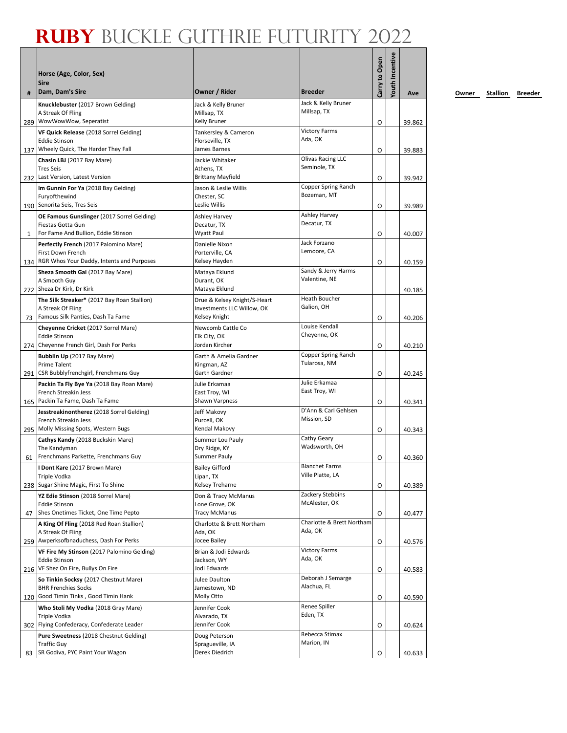|    | Horse (Age, Color, Sex)<br><b>Sire</b>                                                                                          |                                                                             |                                           | Carry to Open | Youth Incentive |                  |
|----|---------------------------------------------------------------------------------------------------------------------------------|-----------------------------------------------------------------------------|-------------------------------------------|---------------|-----------------|------------------|
| #  | Dam, Dam's Sire                                                                                                                 | Owner / Rider                                                               | <b>Breeder</b>                            |               |                 | Ave              |
|    | Knucklebuster (2017 Brown Gelding)<br>A Streak Of Fling<br>289 WowWowWow, Seperatist                                            | Jack & Kelly Bruner<br>Millsap, TX<br>Kelly Bruner                          | Jack & Kelly Bruner<br>Millsap, TX        | O             |                 | 39.862           |
|    | VF Quick Release (2018 Sorrel Gelding)<br><b>Eddie Stinson</b><br>137 Wheely Quick, The Harder They Fall                        | Tankersley & Cameron<br>Florseville, TX<br>James Barnes                     | <b>Victory Farms</b><br>Ada, OK           | O             |                 | 39.883           |
|    | Chasin LBJ (2017 Bay Mare)<br><b>Tres Seis</b><br>232 Last Version, Latest Version                                              | Jackie Whitaker<br>Athens, TX<br><b>Brittany Mayfield</b>                   | Olivas Racing LLC<br>Seminole, TX         | O             |                 | 39.942           |
|    | Im Gunnin For Ya (2018 Bay Gelding)<br>Furyofthewind<br>190 Senorita Seis, Tres Seis                                            | Jason & Leslie Willis<br>Chester, SC<br>Leslie Willis                       | Copper Spring Ranch<br>Bozeman, MT        | O             |                 | 39.989           |
| 1  | OE Famous Gunslinger (2017 Sorrel Gelding)<br>Fiestas Gotta Gun<br>For Fame And Bullion, Eddie Stinson                          | Ashley Harvey<br>Decatur, TX<br>Wyatt Paul                                  | Ashley Harvey<br>Decatur, TX              | O             |                 | 40.007           |
|    | Perfectly French (2017 Palomino Mare)<br>First Down French                                                                      | Danielle Nixon<br>Porterville, CA                                           | Jack Forzano<br>Lemoore, CA               |               |                 |                  |
|    | 134 RGR Whos Your Daddy, Intents and Purposes<br>Sheza Smooth Gal (2017 Bay Mare)<br>A Smooth Guy<br>272 Sheza Dr Kirk, Dr Kirk | Kelsey Hayden<br>Mataya Eklund<br>Durant, OK<br>Mataya Eklund               | Sandy & Jerry Harms<br>Valentine, NE      | O             |                 | 40.159<br>40.185 |
| 73 | The Silk Streaker* (2017 Bay Roan Stallion)<br>A Streak Of Fling<br>Famous Silk Panties, Dash Ta Fame                           | Drue & Kelsey Knight/S-Heart<br>Investments LLC Willow, OK<br>Kelsey Knight | <b>Heath Boucher</b><br>Galion, OH        | O             |                 | 40.206           |
|    | Cheyenne Cricket (2017 Sorrel Mare)<br><b>Eddie Stinson</b><br>274 Cheyenne French Girl, Dash For Perks                         | Newcomb Cattle Co<br>Elk City, OK<br>Jordan Kircher                         | Louise Kendall<br>Cheyenne, OK            | O             |                 | 40.210           |
|    | Bubblin Up (2017 Bay Mare)<br><b>Prime Talent</b><br>291 CSR Bubblyfrenchgirl, Frenchmans Guy                                   | Garth & Amelia Gardner<br>Kingman, AZ<br>Garth Gardner                      | Copper Spring Ranch<br>Tularosa, NM       | O             |                 | 40.245           |
|    | Packin Ta Fly Bye Ya (2018 Bay Roan Mare)<br>French Streakin Jess<br>165 Packin Ta Fame, Dash Ta Fame                           | Julie Erkamaa<br>East Troy, WI<br>Shawn Varpness                            | Julie Erkamaa<br>East Troy, WI            | O             |                 | 40.341           |
|    | Jesstreakinontherez (2018 Sorrel Gelding)<br>French Streakin Jess<br>295 Molly Missing Spots, Western Bugs                      | Jeff Makovy<br>Purcell, OK<br>Kendal Makovy                                 | D'Ann & Carl Gehlsen<br>Mission, SD       | O             |                 | 40.343           |
| 61 | Cathys Kandy (2018 Buckskin Mare)<br>The Kandyman<br>Frenchmans Parkette, Frenchmans Guy                                        | Summer Lou Pauly<br>Dry Ridge, KY<br><b>Summer Pauly</b>                    | Cathy Geary<br>Wadsworth, OH              | O             |                 | 40.360           |
|    | I Dont Kare (2017 Brown Mare)<br>Triple Vodka<br>238 Sugar Shine Magic, First To Shine                                          | <b>Bailey Gifford</b><br>Lipan, TX<br>Kelsey Treharne                       | <b>Blanchet Farms</b><br>Ville Platte, LA | O             |                 | 40.389           |
| 47 | YZ Edie Stinson (2018 Sorrel Mare)<br><b>Eddie Stinson</b><br>Shes Onetimes Ticket, One Time Pepto                              | Don & Tracy McManus<br>Lone Grove, OK<br><b>Tracy McManus</b>               | Zackery Stebbins<br>McAlester, OK         | O             |                 | 40.477           |
|    | A King Of Fling (2018 Red Roan Stallion)<br>A Streak Of Fling<br>259 Awperksofbnaduchess, Dash For Perks                        | Charlotte & Brett Northam<br>Ada, OK<br>Jocee Bailey                        | Charlotte & Brett Northam<br>Ada, OK      | O             |                 | 40.576           |
|    | VF Fire My Stinson (2017 Palomino Gelding)<br><b>Eddie Stinson</b><br>216 VF Shez On Fire, Bullys On Fire                       | Brian & Jodi Edwards<br>Jackson, WY<br>Jodi Edwards                         | <b>Victory Farms</b><br>Ada, OK           | O             |                 | 40.583           |
|    | So Tinkin Socksy (2017 Chestnut Mare)<br><b>BHR Frenchies Socks</b><br>120 Good Timin Tinks, Good Timin Hank                    | Julee Daulton<br>Jamestown, ND<br>Molly Otto                                | Deborah J Semarge<br>Alachua, FL          | O             |                 | 40.590           |
|    | Who Stoli My Vodka (2018 Gray Mare)<br>Triple Vodka<br>302 Flying Confederacy, Confederate Leader                               | Jennifer Cook<br>Alvarado, TX<br>Jennifer Cook                              | Renee Spiller<br>Eden, TX                 |               |                 |                  |
|    | Pure Sweetness (2018 Chestnut Gelding)<br><b>Traffic Guy</b>                                                                    | Doug Peterson<br>Spragueville, IA                                           | Rebecca Stimax<br>Marion, IN              | O             |                 | 40.624           |
| 83 | SR Godiva, PYC Paint Your Wagon                                                                                                 | Derek Diedrich                                                              |                                           | O             |                 | 40.633           |

**<u>Owner</u> Stallion Breeder**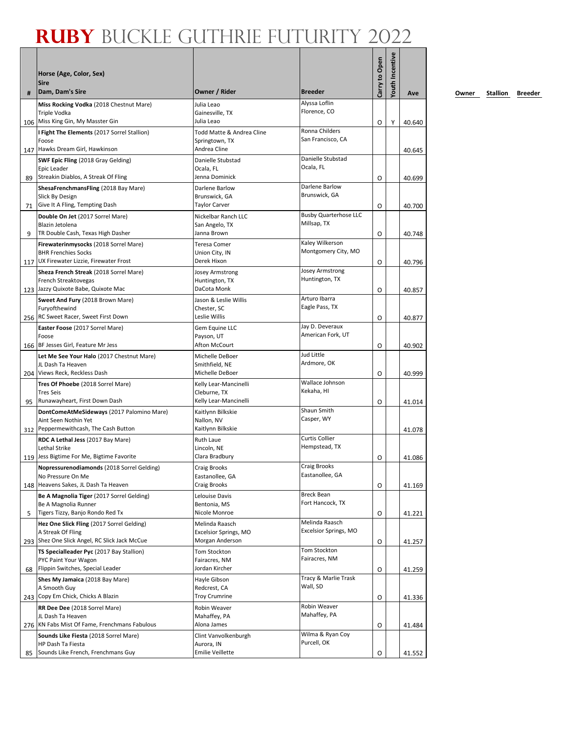|    | Horse (Age, Color, Sex)<br><b>Sire</b>                             |                                        |                                  | Carry to Open | outh Incentive |        |
|----|--------------------------------------------------------------------|----------------------------------------|----------------------------------|---------------|----------------|--------|
| #  | Dam, Dam's Sire                                                    | Owner / Rider                          | <b>Breeder</b>                   |               |                | Ave    |
|    | Miss Rocking Vodka (2018 Chestnut Mare)<br>Triple Vodka            | Julia Leao<br>Gainesville, TX          | Alyssa Loflin<br>Florence, CO    |               |                |        |
|    | 106 Miss King Gin, My Masster Gin                                  | Julia Leao                             |                                  | O             | Υ              | 40.640 |
|    | I Fight The Elements (2017 Sorrel Stallion)                        | Todd Matte & Andrea Cline              | Ronna Childers                   |               |                |        |
|    | Foose<br>147 Hawks Dream Girl, Hawkinson                           | Springtown, TX<br>Andrea Cline         | San Francisco, CA                |               |                | 40.645 |
|    | SWF Epic Fling (2018 Gray Gelding)                                 | Danielle Stubstad                      | Danielle Stubstad<br>Ocala, FL   |               |                |        |
|    | Epic Leader<br>89 Streakin Diablos, A Streak Of Fling              | Ocala, FL<br>Jenna Dominick            |                                  | O             |                | 40.699 |
|    | ShesaFrenchmansFling (2018 Bay Mare)                               | Darlene Barlow                         | Darlene Barlow                   |               |                |        |
|    | Slick By Design                                                    | Brunswick, GA                          | Brunswick, GA                    |               |                |        |
|    | 71 Give It A Fling, Tempting Dash                                  | <b>Taylor Carver</b>                   |                                  | O             |                | 40.700 |
|    | Double On Jet (2017 Sorrel Mare)                                   | Nickelbar Ranch LLC                    | <b>Busby Quarterhose LLC</b>     |               |                |        |
|    | Blazin Jetolena<br>TR Double Cash, Texas High Dasher               | San Angelo, TX<br>Janna Brown          | Millsap, TX                      |               |                |        |
| 9  | Firewaterinmysocks (2018 Sorrel Mare)                              | <b>Teresa Comer</b>                    | Kaley Wilkerson                  | O             |                | 40.748 |
|    | <b>BHR Frenchies Socks</b>                                         | Union City, IN                         | Montgomery City, MO              |               |                |        |
|    | 117 UX Firewater Lizzie, Firewater Frost                           | Derek Hixon                            |                                  | O             |                | 40.796 |
|    | Sheza French Streak (2018 Sorrel Mare)                             | <b>Josey Armstrong</b>                 | Josey Armstrong                  |               |                |        |
|    | French Streaktovegas                                               | Huntington, TX                         | Huntington, TX                   |               |                |        |
|    | 123 Jazzy Quixote Babe, Quixote Mac                                | DaCota Monk                            |                                  | O             |                | 40.857 |
|    | Sweet And Fury (2018 Brown Mare)<br>Furyofthewind                  | Jason & Leslie Willis<br>Chester, SC   | Arturo Ibarra<br>Eagle Pass, TX  |               |                |        |
|    | 256 RC Sweet Racer, Sweet First Down                               | Leslie Willis                          |                                  | O             |                | 40.877 |
|    | Easter Foose (2017 Sorrel Mare)                                    | Gem Equine LLC                         | Jay D. Deveraux                  |               |                |        |
|    | Foose                                                              | Payson, UT                             | American Fork, UT                |               |                |        |
|    | 166 BF Jesses Girl, Feature Mr Jess                                | Afton McCourt                          |                                  | O             |                | 40.902 |
|    | Let Me See Your Halo (2017 Chestnut Mare)                          | Michelle DeBoer                        | <b>Jud Little</b><br>Ardmore, OK |               |                |        |
|    | JL Dash Ta Heaven<br>204 Views Reck, Reckless Dash                 | Smithfield, NE<br>Michelle DeBoer      |                                  | O             |                | 40.999 |
|    | Tres Of Phoebe (2018 Sorrel Mare)                                  | Kelly Lear-Mancinelli                  | Wallace Johnson                  |               |                |        |
|    | <b>Tres Seis</b>                                                   | Cleburne, TX                           | Kekaha, HI                       |               |                |        |
| 95 | Runawayheart, First Down Dash                                      | Kelly Lear-Mancinelli                  |                                  | O             |                | 41.014 |
|    | DontComeAtMeSideways (2017 Palomino Mare)                          | Kaitlynn Bilkskie                      | Shaun Smith                      |               |                |        |
|    | Aint Seen Nothin Yet<br>312 Peppermewithcash, The Cash Button      | Nallon, NV<br>Kaitlynn Bilkskie        | Casper, WY                       |               |                |        |
|    | RDC A Lethal Jess (2017 Bay Mare)                                  | Ruth Laue                              | <b>Curtis Collier</b>            |               |                | 41.078 |
|    | Lethal Strike                                                      | Lincoln, NE                            | Hempstead, TX                    |               |                |        |
|    | 119 Jess Bigtime For Me, Bigtime Favorite                          | Clara Bradbury                         |                                  | O             |                | 41.086 |
|    | Nopressurenodiamonds (2018 Sorrel Gelding)                         | <b>Craig Brooks</b>                    | Craig Brooks                     |               |                |        |
|    | No Pressure On Me<br>148 Heavens Sakes, JL Dash Ta Heaven          | Eastanollee, GA<br><b>Craig Brooks</b> | Eastanollee, GA                  |               |                |        |
|    | Be A Magnolia Tiger (2017 Sorrel Gelding)                          |                                        | <b>Breck Bean</b>                | O             |                | 41.169 |
|    | Be A Magnolia Runner                                               | Lelouise Davis<br>Bentonia, MS         | Fort Hancock, TX                 |               |                |        |
| 5  | Tigers Tizzy, Banjo Rondo Red Tx                                   | Nicole Monroe                          |                                  | O             |                | 41.221 |
|    | Hez One Slick Fling (2017 Sorrel Gelding)                          | Melinda Raasch                         | Melinda Raasch                   |               |                |        |
|    | A Streak Of Fling                                                  | Excelsior Springs, MO                  | Excelsior Springs, MO            |               |                |        |
|    | 293 Shez One Slick Angel, RC Slick Jack McCue                      | Morgan Anderson                        | <b>Tom Stockton</b>              | O             |                | 41.257 |
|    | TS Specialleader Pyc (2017 Bay Stallion)<br>PYC Paint Your Wagon   | Tom Stockton<br>Fairacres, NM          | Fairacres, NM                    |               |                |        |
| 68 | Flippin Switches, Special Leader                                   | Jordan Kircher                         |                                  | O             |                | 41.259 |
|    | Shes My Jamaica (2018 Bay Mare)                                    | Hayle Gibson                           | Tracy & Marlie Trask             |               |                |        |
|    | A Smooth Guy                                                       | Redcrest, CA                           | Wall, SD                         |               |                |        |
|    | 243 Copy Em Chick, Chicks A Blazin                                 | <b>Troy Crumrine</b>                   |                                  | 0             |                | 41.336 |
|    | RR Dee Dee (2018 Sorrel Mare)                                      | Robin Weaver                           | Robin Weaver<br>Mahaffey, PA     |               |                |        |
|    | JL Dash Ta Heaven<br>276 KN Fabs Mist Of Fame, Frenchmans Fabulous | Mahaffey, PA<br>Alona James            |                                  | O             |                | 41.484 |
|    | Sounds Like Fiesta (2018 Sorrel Mare)                              | Clint Vanvolkenburgh                   | Wilma & Ryan Coy                 |               |                |        |
|    | HP Dash Ta Fiesta                                                  | Aurora, IN                             | Purcell, OK                      |               |                |        |
| 85 | Sounds Like French, Frenchmans Guy                                 | <b>Emilie Veillette</b>                |                                  | O             |                | 41.552 |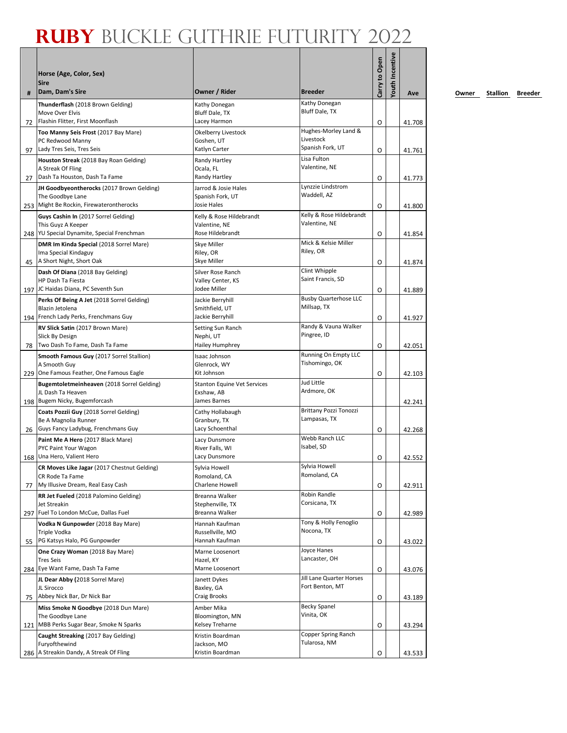| #  | Horse (Age, Color, Sex)<br><b>Sire</b><br>Dam, Dam's Sire     | Owner / Rider                      | <b>Breeder</b>                              | Carry to Open | <b>routh Incentive</b> | Ave    |
|----|---------------------------------------------------------------|------------------------------------|---------------------------------------------|---------------|------------------------|--------|
|    | Thunderflash (2018 Brown Gelding)                             | Kathy Donegan                      | Kathy Donegan                               |               |                        |        |
|    | Move Over Elvis<br>Flashin Flitter, First Moonflash           | Bluff Dale, TX<br>Lacey Harmon     | Bluff Dale, TX                              |               |                        |        |
| 72 | Too Manny Seis Frost (2017 Bay Mare)                          | Okelberry Livestock                | Hughes-Morley Land &                        | O             |                        | 41.708 |
|    | PC Redwood Manny                                              | Goshen, UT                         | Livestock                                   |               |                        |        |
| 97 | Lady Tres Seis, Tres Seis                                     | Katlyn Carter                      | Spanish Fork, UT                            | O             |                        | 41.761 |
|    | Houston Streak (2018 Bay Roan Gelding)<br>A Streak Of Fling   | Randy Hartley<br>Ocala, FL         | Lisa Fulton<br>Valentine, NE                |               |                        |        |
| 27 | Dash Ta Houston, Dash Ta Fame                                 | Randy Hartley                      |                                             | O             |                        | 41.773 |
|    | JH Goodbyeontherocks (2017 Brown Gelding)                     | Jarrod & Josie Hales               | Lynzzie Lindstrom                           |               |                        |        |
|    | The Goodbye Lane<br>253 Might Be Rockin, Firewaterontherocks  | Spanish Fork, UT<br>Josie Hales    | Waddell, AZ                                 |               |                        |        |
|    | Guys Cashin In (2017 Sorrel Gelding)                          | Kelly & Rose Hildebrandt           | Kelly & Rose Hildebrandt                    | O             |                        | 41.800 |
|    | This Guyz A Keeper                                            | Valentine, NE                      | Valentine, NE                               |               |                        |        |
|    | 248 YU Special Dynamite, Special Frenchman                    | Rose Hildebrandt                   |                                             | O             |                        | 41.854 |
|    | DMR Im Kinda Special (2018 Sorrel Mare)                       | Skye Miller                        | Mick & Kelsie Miller<br>Riley, OR           |               |                        |        |
| 45 | Ima Special Kindaguy<br>A Short Night, Short Oak              | Riley, OR<br>Skye Miller           |                                             | O             |                        | 41.874 |
|    | Dash Of Diana (2018 Bay Gelding)                              | Silver Rose Ranch                  | Clint Whipple                               |               |                        |        |
|    | HP Dash Ta Fiesta                                             | Valley Center, KS                  | Saint Francis, SD                           |               |                        |        |
|    | 197 JC Haidas Diana, PC Seventh Sun                           | Jodee Miller                       |                                             | O             |                        | 41.889 |
|    | Perks Of Being A Jet (2018 Sorrel Gelding)<br>Blazin Jetolena | Jackie Berryhill<br>Smithfield, UT | <b>Busby Quarterhose LLC</b><br>Millsap, TX |               |                        |        |
|    | 194 French Lady Perks, Frenchmans Guy                         | Jackie Berryhill                   |                                             | O             |                        | 41.927 |
|    | RV Slick Satin (2017 Brown Mare)                              | Setting Sun Ranch                  | Randy & Vauna Walker                        |               |                        |        |
|    | Slick By Design<br>Two Dash To Fame, Dash Ta Fame             | Nephi, UT                          | Pingree, ID                                 |               |                        |        |
| 78 | Smooth Famous Guy (2017 Sorrel Stallion)                      | Hailey Humphrey<br>Isaac Johnson   | Running On Empty LLC                        | O             |                        | 42.051 |
|    | A Smooth Guy                                                  | Glenrock, WY                       | Tishomingo, OK                              |               |                        |        |
|    | 229 One Famous Feather, One Famous Eagle                      | Kit Johnson                        |                                             | O             |                        | 42.103 |
|    | Bugemtoletmeinheaven (2018 Sorrel Gelding)                    | <b>Stanton Equine Vet Services</b> | Jud Little<br>Ardmore, OK                   |               |                        |        |
|    | JL Dash Ta Heaven<br>198 Bugem Nicky, Bugemforcash            | Exshaw, AB<br>James Barnes         |                                             |               |                        | 42.241 |
|    | Coats Pozzii Guy (2018 Sorrel Gelding)                        | Cathy Hollabaugh                   | Brittany Pozzi Tonozzi                      |               |                        |        |
|    | Be A Magnolia Runner                                          | Granbury, TX                       | Lampasas, TX                                |               |                        |        |
| 26 | Guys Fancy Ladybug, Frenchmans Guy                            | Lacy Schoenthal                    | Webb Ranch LLC                              | O             |                        | 42.268 |
|    | Paint Me A Hero (2017 Black Mare)<br>PYC Paint Your Wagon     | Lacy Dunsmore<br>River Falls, WI   | Isabel, SD                                  |               |                        |        |
|    | 168 Una Hero, Valient Hero                                    | Lacy Dunsmore                      |                                             | O             |                        | 42.552 |
|    | CR Moves Like Jagar (2017 Chestnut Gelding)                   | Sylvia Howell                      | Sylvia Howell                               |               |                        |        |
| 77 | CR Rode Ta Fame<br>My Illusive Dream, Real Easy Cash          | Romoland, CA<br>Charlene Howell    | Romoland, CA                                | O             |                        |        |
|    | RR Jet Fueled (2018 Palomino Gelding)                         | Breanna Walker                     | Robin Randle                                |               |                        | 42.911 |
|    | Jet Streakin                                                  | Stephenville, TX                   | Corsicana, TX                               |               |                        |        |
|    | 297 Fuel To London McCue, Dallas Fuel                         | Breanna Walker                     |                                             | O             |                        | 42.989 |
|    | Vodka N Gunpowder (2018 Bay Mare)<br>Triple Vodka             | Hannah Kaufman<br>Russellville, MO | Tony & Holly Fenoglio<br>Nocona, TX         |               |                        |        |
| 55 | PG Katsys Halo, PG Gunpowder                                  | Hannah Kaufman                     |                                             | O             |                        | 43.022 |
|    | One Crazy Woman (2018 Bay Mare)                               | Marne Loosenort                    | Joyce Hanes                                 |               |                        |        |
|    | <b>Tres Seis</b>                                              | Hazel, KY                          | Lancaster, OH                               |               |                        |        |
|    | 284 Eye Want Fame, Dash Ta Fame                               | Marne Loosenort                    | Jill Lane Quarter Horses                    | O             |                        | 43.076 |
|    | JL Dear Abby (2018 Sorrel Mare)<br>JL Sirocco                 | Janett Dykes<br>Baxley, GA         | Fort Benton, MT                             |               |                        |        |
| 75 | Abbey Nick Bar, Dr Nick Bar                                   | Craig Brooks                       |                                             | O             |                        | 43.189 |
|    | Miss Smoke N Goodbye (2018 Dun Mare)                          | Amber Mika                         | <b>Becky Spanel</b>                         |               |                        |        |
|    | The Goodbye Lane<br>121 MBB Perks Sugar Bear, Smoke N Sparks  | Bloomington, MN<br>Kelsey Treharne | Vinita, OK                                  | O             |                        | 43.294 |
|    | Caught Streaking (2017 Bay Gelding)                           | Kristin Boardman                   | Copper Spring Ranch                         |               |                        |        |
|    | Furyofthewind                                                 | Jackson, MO                        | Tularosa, NM                                |               |                        |        |
|    | 286 A Streakin Dandy, A Streak Of Fling                       | Kristin Boardman                   |                                             | O             |                        | 43.533 |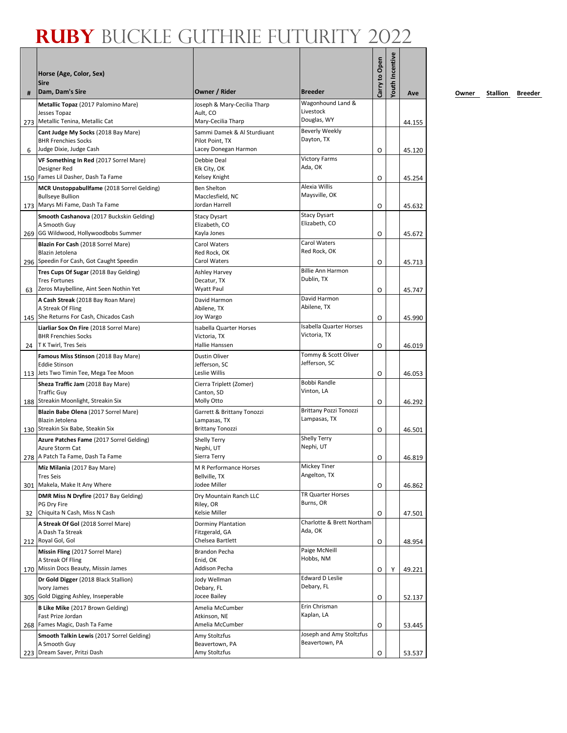|    | Horse (Age, Color, Sex)<br>Sire                             |                                       |                                      | Carry to Open | <b>Youth Incentive</b> |        |
|----|-------------------------------------------------------------|---------------------------------------|--------------------------------------|---------------|------------------------|--------|
| #  | Dam, Dam's Sire                                             | Owner / Rider                         | <b>Breeder</b>                       |               |                        | Ave    |
|    | Metallic Topaz (2017 Palomino Mare)                         | Joseph & Mary-Cecilia Tharp           | Wagonhound Land &<br>Livestock       |               |                        |        |
|    | Jesses Topaz<br>273 Metallic Tenina, Metallic Cat           | Ault, CO<br>Mary-Cecilia Tharp        | Douglas, WY                          |               |                        | 44.155 |
|    | Cant Judge My Socks (2018 Bay Mare)                         | Sammi Damek & Al Sturdiuant           | Beverly Weekly                       |               |                        |        |
|    | <b>BHR Frenchies Socks</b>                                  | Pilot Point, TX                       | Dayton, TX                           |               |                        |        |
| 6  | Judge Dixie, Judge Cash                                     | Lacey Donegan Harmon                  | <b>Victory Farms</b>                 | O             |                        | 45.120 |
|    | VF Something In Red (2017 Sorrel Mare)<br>Designer Red      | Debbie Deal<br>Elk City, OK           | Ada, OK                              |               |                        |        |
|    | 150 Fames Lil Dasher, Dash Ta Fame                          | Kelsey Knight                         |                                      | O             |                        | 45.254 |
|    | MCR Unstoppabullfame (2018 Sorrel Gelding)                  | <b>Ben Shelton</b>                    | Alexia Willis                        |               |                        |        |
|    | <b>Bullseye Bullion</b><br>173 Marys Mi Fame, Dash Ta Fame  | Macclesfield, NC<br>Jordan Harrell    | Maysville, OK                        |               |                        |        |
|    | Smooth Cashanova (2017 Buckskin Gelding)                    | <b>Stacy Dysart</b>                   | <b>Stacy Dysart</b>                  | O             |                        | 45.632 |
|    | A Smooth Guy                                                | Elizabeth, CO                         | Elizabeth, CO                        |               |                        |        |
|    | 269 GG Wildwood, Hollywoodbobs Summer                       | Kayla Jones                           |                                      | O             |                        | 45.672 |
|    | Blazin For Cash (2018 Sorrel Mare)                          | Carol Waters                          | Carol Waters<br>Red Rock, OK         |               |                        |        |
|    | Blazin Jetolena<br>296 Speedin For Cash, Got Caught Speedin | Red Rock, OK<br>Carol Waters          |                                      | O             |                        | 45.713 |
|    | Tres Cups Of Sugar (2018 Bay Gelding)                       | <b>Ashley Harvey</b>                  | <b>Billie Ann Harmon</b>             |               |                        |        |
|    | <b>Tres Fortunes</b>                                        | Decatur, TX                           | Dublin, TX                           |               |                        |        |
| 63 | Zeros Maybelline, Aint Seen Nothin Yet                      | Wyatt Paul                            |                                      | O             |                        | 45.747 |
|    | A Cash Streak (2018 Bay Roan Mare)<br>A Streak Of Fling     | David Harmon<br>Abilene, TX           | David Harmon<br>Abilene, TX          |               |                        |        |
|    | 145 She Returns For Cash, Chicados Cash                     | Joy Wargo                             |                                      | O             |                        | 45.990 |
|    | Liarliar Sox On Fire (2018 Sorrel Mare)                     | Isabella Quarter Horses               | <b>Isabella Quarter Horses</b>       |               |                        |        |
|    | <b>BHR Frenchies Socks</b>                                  | Victoria, TX                          | Victoria, TX                         |               |                        |        |
| 24 | T K Twirl, Tres Seis                                        | Hallie Hanssen                        | Tommy & Scott Oliver                 | O             |                        | 46.019 |
|    | Famous Miss Stinson (2018 Bay Mare)<br><b>Eddie Stinson</b> | <b>Dustin Oliver</b><br>Jefferson, SC | Jefferson, SC                        |               |                        |        |
|    | 113 Jets Two Timin Tee, Mega Tee Moon                       | Leslie Willis                         |                                      | O             |                        | 46.053 |
|    | Sheza Traffic Jam (2018 Bay Mare)                           | Cierra Triplett (Zomer)               | Bobbi Randle                         |               |                        |        |
|    | <b>Traffic Guy</b><br>188 Streakin Moonlight, Streakin Six  | Canton, SD<br>Molly Otto              | Vinton, LA                           | O             |                        | 46.292 |
|    | Blazin Babe Olena (2017 Sorrel Mare)                        | Garrett & Brittany Tonozzi            | Brittany Pozzi Tonozzi               |               |                        |        |
|    | Blazin Jetolena                                             | Lampasas, TX                          | Lampasas, TX                         |               |                        |        |
|    | 130 Streakin Six Babe, Steakin Six                          | <b>Brittany Tonozzi</b>               |                                      | O             |                        | 46.501 |
|    | Azure Patches Fame (2017 Sorrel Gelding)<br>Azure Storm Cat | <b>Shelly Terry</b><br>Nephi, UT      | <b>Shelly Terry</b><br>Nephi, UT     |               |                        |        |
|    | 278   A Patch Ta Fame, Dash Ta Fame                         | Sierra Terry                          |                                      | O             |                        | 46.819 |
|    | Miz Milania (2017 Bay Mare)                                 | M R Performance Horses                | Mickey Tiner                         |               |                        |        |
|    | <b>Tres Seis</b>                                            | Bellville, TX                         | Angelton, TX                         |               |                        |        |
|    | 301 Makela, Make It Any Where                               | Jodee Miller                          | TR Quarter Horses                    | O             |                        | 46.862 |
|    | DMR Miss N Dryfire (2017 Bay Gelding)<br>PG Dry Fire        | Dry Mountain Ranch LLC<br>Riley, OR   | Burns, OR                            |               |                        |        |
| 32 | Chiquita N Cash, Miss N Cash                                | Kelsie Miller                         |                                      | O             |                        | 47.501 |
|    | A Streak Of Gol (2018 Sorrel Mare)                          | Dorminy Plantation                    | Charlotte & Brett Northam<br>Ada, OK |               |                        |        |
|    | A Dash Ta Streak<br>212 Royal Gol, Gol                      | Fitzgerald, GA<br>Chelsea Bartlett    |                                      | O             |                        | 48.954 |
|    | Missin Fling (2017 Sorrel Mare)                             | Brandon Pecha                         | Paige McNeill                        |               |                        |        |
|    | A Streak Of Fling                                           | Enid, OK                              | Hobbs, NM                            |               |                        |        |
|    | 170 Missin Docs Beauty, Missin James                        | Addison Pecha                         |                                      | O             | Υ                      | 49.221 |
|    | Dr Gold Digger (2018 Black Stallion)<br>Ivory James         | Jody Wellman<br>Debary, FL            | <b>Edward D Leslie</b><br>Debary, FL |               |                        |        |
|    | 305 Gold Digging Ashley, Inseperable                        | Jocee Bailey                          |                                      | O             |                        | 52.137 |
|    | B Like Mike (2017 Brown Gelding)                            | Amelia McCumber                       | Erin Chrisman                        |               |                        |        |
|    | Fast Prize Jordan                                           | Atkinson, NE                          | Kaplan, LA                           |               |                        |        |
|    | 268 Fames Magic, Dash Ta Fame                               | Amelia McCumber                       | Joseph and Amy Stoltzfus             | O             |                        | 53.445 |
|    | Smooth Talkin Lewis (2017 Sorrel Gelding)<br>A Smooth Guy   | Amy Stoltzfus<br>Beavertown, PA       | Beavertown, PA                       |               |                        |        |
|    | 223 Dream Saver, Pritzi Dash                                | Amy Stoltzfus                         |                                      | O             |                        | 53.537 |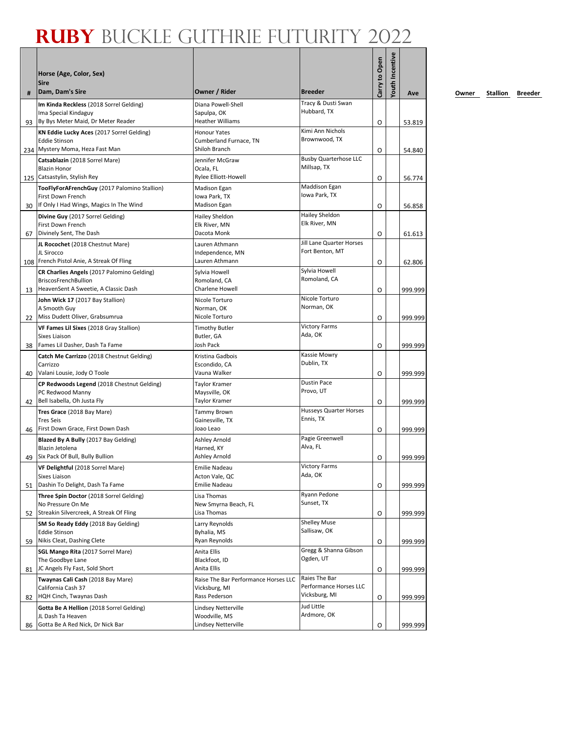| #  | Horse (Age, Color, Sex)<br><b>Sire</b><br>Dam, Dam's Sire         | Owner / Rider                                         | <b>Breeder</b>                             | Carry to Open | <b>/outh Incentive</b> | Ave     |
|----|-------------------------------------------------------------------|-------------------------------------------------------|--------------------------------------------|---------------|------------------------|---------|
|    | Im Kinda Reckless (2018 Sorrel Gelding)                           | Diana Powell-Shell                                    | Tracy & Dusti Swan                         |               |                        |         |
|    | Ima Special Kindaguy                                              | Sapulpa, OK                                           | Hubbard, TX                                |               |                        |         |
|    | 93 By Bys Meter Maid, Dr Meter Reader                             | <b>Heather Williams</b>                               | Kimi Ann Nichols                           | O             |                        | 53.819  |
|    | KN Eddie Lucky Aces (2017 Sorrel Gelding)<br><b>Eddie Stinson</b> | <b>Honour Yates</b><br>Cumberland Furnace, TN         | Brownwood, TX                              |               |                        |         |
|    | 234 Mystery Moma, Heza Fast Man                                   | Shiloh Branch                                         |                                            | O             |                        | 54.840  |
|    | Catsablazin (2018 Sorrel Mare)                                    | Jennifer McGraw                                       | <b>Busby Quarterhose LLC</b>               |               |                        |         |
|    | <b>Blazin Honor</b>                                               | Ocala. FL                                             | Millsap, TX                                |               |                        |         |
|    | 125 Catsastylin, Stylish Rey                                      | Rylee Elliott-Howell                                  | Maddison Egan                              | O             |                        | 56.774  |
|    | TooFlyForAFrenchGuy (2017 Palomino Stallion)<br>First Down French | <b>Madison Egan</b><br>Iowa Park, TX                  | Iowa Park, TX                              |               |                        |         |
| 30 | If Only I Had Wings, Magics In The Wind                           | <b>Madison Egan</b>                                   |                                            | O             |                        | 56.858  |
|    | Divine Guy (2017 Sorrel Gelding)                                  | Hailey Sheldon                                        | <b>Hailey Sheldon</b>                      |               |                        |         |
|    | First Down French                                                 | Elk River, MN                                         | Elk River, MN                              |               |                        |         |
| 67 | Divinely Sent, The Dash                                           | Dacota Monk                                           | Jill Lane Quarter Horses                   | O             |                        | 61.613  |
|    | JL Rocochet (2018 Chestnut Mare)<br>JL Sirocco                    | Lauren Athmann<br>Independence, MN                    | Fort Benton, MT                            |               |                        |         |
|    | 108 French Pistol Anie, A Streak Of Fling                         | Lauren Athmann                                        |                                            | O             |                        | 62.806  |
|    | CR Charlies Angels (2017 Palomino Gelding)                        | Sylvia Howell                                         | Sylvia Howell                              |               |                        |         |
|    | <b>BriscosFrenchBullion</b>                                       | Romoland, CA                                          | Romoland, CA                               |               |                        |         |
| 13 | HeavenSent A Sweetie, A Classic Dash                              | Charlene Howell                                       |                                            | O             |                        | 999.999 |
|    | John Wick 17 (2017 Bay Stallion)<br>A Smooth Guy                  | Nicole Torturo<br>Norman, OK                          | Nicole Torturo<br>Norman, OK               |               |                        |         |
|    | 22 Miss Dudett Oliver, Grabsumrua                                 | Nicole Torturo                                        |                                            | O             |                        | 999.999 |
|    | VF Fames Lil Sixes (2018 Gray Stallion)                           | <b>Timothy Butler</b>                                 | <b>Victory Farms</b>                       |               |                        |         |
|    | Sixes Liaison                                                     | Butler, GA                                            | Ada, OK                                    |               |                        |         |
| 38 | Fames Lil Dasher, Dash Ta Fame                                    | Josh Pack                                             |                                            | O             |                        | 999.999 |
|    | Catch Me Carrizzo (2018 Chestnut Gelding)<br>Carrizzo             | Kristina Gadbois<br>Escondido, CA                     | Kassie Mowry<br>Dublin, TX                 |               |                        |         |
| 40 | Valani Lousie, Jody O Toole                                       | Vauna Walker                                          |                                            | O             |                        | 999.999 |
|    | CP Redwoods Legend (2018 Chestnut Gelding)                        | <b>Taylor Kramer</b>                                  | <b>Dustin Pace</b>                         |               |                        |         |
|    | PC Redwood Manny                                                  | Maysville, OK                                         | Provo, UT                                  |               |                        |         |
| 42 | Bell Isabella, Oh Justa Fly                                       | <b>Taylor Kramer</b>                                  |                                            | O             |                        | 999.999 |
|    | Tres Grace (2018 Bay Mare)<br><b>Tres Seis</b>                    | Tammy Brown<br>Gainesville, TX                        | <b>Husseys Quarter Horses</b><br>Ennis, TX |               |                        |         |
| 46 | First Down Grace, First Down Dash                                 | Joao Leao                                             |                                            | O             |                        | 999.999 |
|    | <b>Blazed By A Bully (2017 Bay Gelding)</b>                       | Ashley Arnold                                         | Pagie Greenwell                            |               |                        |         |
|    | Blazin Jetolena                                                   | Harned, KY                                            | Alva, FL                                   |               |                        |         |
|    | 49 Six Pack Of Bull, Bully Bullion                                | Ashley Arnold                                         |                                            | O             |                        | 999.999 |
|    | VF Delightful (2018 Sorrel Mare)<br>Sixes Liaison                 | Emilie Nadeau<br>Acton Vale, QC                       | <b>Victory Farms</b><br>Ada, OK            |               |                        |         |
| 51 | Dashin To Delight, Dash Ta Fame                                   | Emilie Nadeau                                         |                                            | O             |                        | 999.999 |
|    | Three Spin Doctor (2018 Sorrel Gelding)                           | Lisa Thomas                                           | Ryann Pedone                               |               |                        |         |
|    | No Pressure On Me                                                 | New Smyrna Beach, FL                                  | Sunset, TX                                 |               |                        |         |
| 52 | Streakin Silvercreek, A Streak Of Fling                           | Lisa Thomas                                           |                                            | O             |                        | 999.999 |
|    | SM So Ready Eddy (2018 Bay Gelding)<br><b>Eddie Stinson</b>       | Larry Reynolds<br>Byhalia, MS                         | <b>Shelley Muse</b><br>Sallisaw, OK        |               |                        |         |
| 59 | Nikis Cleat, Dashing Clete                                        | Ryan Reynolds                                         |                                            | O             |                        | 999.999 |
|    | SGL Mango Rita (2017 Sorrel Mare)                                 | Anita Ellis                                           | Gregg & Shanna Gibson                      |               |                        |         |
|    | The Goodbye Lane                                                  | Blackfoot, ID                                         | Ogden, UT                                  |               |                        |         |
| 81 | JC Angels Fly Fast, Sold Short                                    | Anita Ellis                                           |                                            | O             |                        | 999.999 |
|    | Twaynas Cali Cash (2018 Bay Mare)<br>California Cash 37           | Raise The Bar Performance Horses LLC<br>Vicksburg, MI | Raies The Bar<br>Performance Horses LLC    |               |                        |         |
| 82 | HQH Cinch, Twaynas Dash                                           | Rass Pederson                                         | Vicksburg, MI                              | O             |                        | 999.999 |
|    | Gotta Be A Hellion (2018 Sorrel Gelding)                          | Lindsey Netterville                                   | Jud Little                                 |               |                        |         |
|    | JL Dash Ta Heaven                                                 | Woodville, MS                                         | Ardmore, OK                                |               |                        |         |
| 86 | Gotta Be A Red Nick, Dr Nick Bar                                  | Lindsey Netterville                                   |                                            | O             |                        | 999.999 |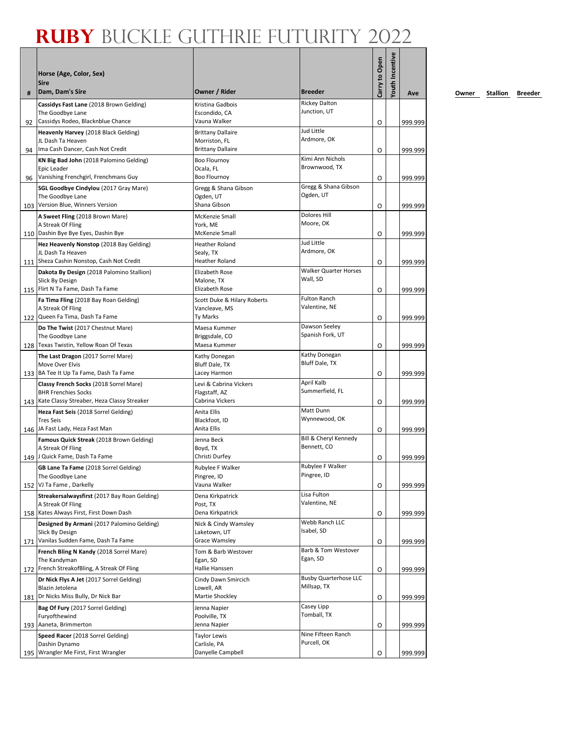|    | Horse (Age, Color, Sex)<br><b>Sire</b>                                                            |                                                                       |                                             | Carry to Open | <b>Youth Incentive</b> |         |
|----|---------------------------------------------------------------------------------------------------|-----------------------------------------------------------------------|---------------------------------------------|---------------|------------------------|---------|
| #  | Dam, Dam's Sire                                                                                   | Owner / Rider                                                         | <b>Breeder</b>                              |               |                        | Ave     |
|    | Cassidys Fast Lane (2018 Brown Gelding)<br>The Goodbye Lane                                       | Kristina Gadbois<br>Escondido, CA                                     | <b>Rickey Dalton</b><br>Junction, UT        |               |                        |         |
| 92 | Cassidys Rodeo, Blacknblue Chance                                                                 | Vauna Walker                                                          | Jud Little                                  | O             |                        | 999.999 |
| 94 | Heavenly Harvey (2018 Black Gelding)<br>JL Dash Ta Heaven<br>Ima Cash Dancer, Cash Not Credit     | <b>Brittany Dallaire</b><br>Morriston, FL<br><b>Brittany Dallaire</b> | Ardmore, OK                                 | O             |                        | 999.999 |
| 96 | KN Big Bad John (2018 Palomino Gelding)<br>Epic Leader<br>Vanishing Frenchgirl, Frenchmans Guy    | <b>Boo Flournoy</b><br>Ocala, FL<br><b>Boo Flournoy</b>               | Kimi Ann Nichols<br>Brownwood, TX           | O             |                        | 999.999 |
|    | SGL Goodbye Cindylou (2017 Gray Mare)<br>The Goodbye Lane<br>103 Version Blue, Winners Version    | Gregg & Shana Gibson<br>Ogden, UT<br>Shana Gibson                     | Gregg & Shana Gibson<br>Ogden, UT           |               |                        |         |
|    | A Sweet Fling (2018 Brown Mare)                                                                   | McKenzie Small                                                        | <b>Dolores Hill</b>                         | O             |                        | 999.999 |
|    | A Streak Of Fling<br>110   Dashin Bye Bye Eyes, Dashin Bye                                        | York, ME<br><b>McKenzie Small</b>                                     | Moore, OK                                   | O             |                        | 999.999 |
|    | Hez Heavenly Nonstop (2018 Bay Gelding)<br>JL Dash Ta Heaven                                      | <b>Heather Roland</b><br>Sealy, TX                                    | Jud Little<br>Ardmore, OK                   |               |                        |         |
|    | 111 Sheza Cashin Nonstop, Cash Not Credit                                                         | <b>Heather Roland</b>                                                 |                                             | O             |                        | 999.999 |
|    | Dakota By Design (2018 Palomino Stallion)<br>Slick By Design<br>115 Flirt N Ta Fame, Dash Ta Fame | <b>Elizabeth Rose</b><br>Malone, TX<br><b>Elizabeth Rose</b>          | <b>Walker Quarter Horses</b><br>Wall, SD    |               |                        |         |
|    | Fa Tima Fling (2018 Bay Roan Gelding)                                                             | Scott Duke & Hilary Roberts                                           | <b>Fulton Ranch</b>                         | O             |                        | 999.999 |
|    | A Streak Of Fling<br>122 Queen Fa Tima, Dash Ta Fame                                              | Vancleave, MS<br><b>Ty Marks</b>                                      | Valentine, NE                               | O             |                        | 999.999 |
|    | Do The Twist (2017 Chestnut Mare)                                                                 | Maesa Kummer                                                          | Dawson Seeley                               |               |                        |         |
|    | The Goodbye Lane<br>128 Texas Twistin, Yellow Roan Of Texas                                       | Briggsdale, CO<br>Maesa Kummer                                        | Spanish Fork, UT                            |               |                        |         |
|    | The Last Dragon (2017 Sorrel Mare)                                                                | Kathy Donegan                                                         | Kathy Donegan                               | O             |                        | 999.999 |
|    | Move Over Elvis<br>133 BA Tee It Up Ta Fame, Dash Ta Fame                                         | Bluff Dale, TX<br>Lacey Harmon                                        | Bluff Dale, TX                              | O             |                        | 999.999 |
|    | Classy French Socks (2018 Sorrel Mare)                                                            | Levi & Cabrina Vickers                                                | April Kalb                                  |               |                        |         |
|    | <b>BHR Frenchies Socks</b><br>143 Kate Classy Streaber, Heza Classy Streaker                      | Flagstaff, AZ<br>Cabrina Vickers                                      | Summerfield, FL                             | O             |                        | 999.999 |
|    | Heza Fast Seis (2018 Sorrel Gelding)<br><b>Tres Seis</b><br>146 JA Fast Lady, Heza Fast Man       | Anita Ellis<br>Blackfoot, ID<br>Anita Ellis                           | Matt Dunn<br>Wynnewood, OK                  |               |                        |         |
|    | Famous Quick Streak (2018 Brown Gelding)                                                          | Jenna Beck                                                            | Bill & Cheryl Kennedy                       | 0             |                        | 999.999 |
|    | A Streak Of Fling<br>149 J Quick Fame, Dash Ta Fame                                               | Boyd, TX<br>Christi Durfey                                            | Bennett, CO                                 | O             |                        | 999.999 |
|    | GB Lane Ta Fame (2018 Sorrel Gelding)<br>The Goodbye Lane                                         | Rubylee F Walker<br>Pingree, ID                                       | Rubylee F Walker<br>Pingree, ID             |               |                        |         |
|    | 152 VJ Ta Fame, Darkelly                                                                          | Vauna Walker                                                          |                                             | O             |                        | 999.999 |
|    | Streakersalwaysfirst (2017 Bay Roan Gelding)<br>A Streak Of Fling                                 | Dena Kirkpatrick<br>Post, TX                                          | Lisa Fulton<br>Valentine, NE                |               |                        |         |
|    | 158 Kates Always First, First Down Dash<br>Designed By Armani (2017 Palomino Gelding)             | Dena Kirkpatrick<br>Nick & Cindy Wamsley                              | Webb Ranch LLC                              | O             |                        | 999.999 |
|    | Slick By Design<br>171 Vanilas Sudden Fame, Dash Ta Fame                                          | Laketown, UT<br>Grace Wamsley                                         | Isabel, SD                                  | O             |                        | 999.999 |
|    | French Bling N Kandy (2018 Sorrel Mare)                                                           | Tom & Barb Westover                                                   | Barb & Tom Westover<br>Egan, SD             |               |                        |         |
|    | The Kandyman<br>172 French StreakofBling, A Streak Of Fling                                       | Egan, SD<br>Hallie Hanssen                                            |                                             | O             |                        | 999.999 |
|    | Dr Nick Flys A Jet (2017 Sorrel Gelding)<br>Blazin Jetolena                                       | Cindy Dawn Smircich<br>Lowell, AR                                     | <b>Busby Quarterhose LLC</b><br>Millsap, TX |               |                        |         |
|    | 181 Dr Nicks Miss Bully, Dr Nick Bar                                                              | Martie Shockley                                                       |                                             | O             |                        | 999.999 |
|    | Bag Of Fury (2017 Sorrel Gelding)                                                                 | Jenna Napier                                                          | Casey Lipp<br>Tomball, TX                   |               |                        |         |
|    | Furyofthewind<br>193 Aaneta, Brimmerton                                                           | Poolville, TX<br>Jenna Napier                                         |                                             | O             |                        | 999.999 |
|    | Speed Racer (2018 Sorrel Gelding)                                                                 | <b>Taylor Lewis</b>                                                   | Nine Fifteen Ranch                          |               |                        |         |
|    | Dashin Dynamo<br>195 Wrangler Me First, First Wrangler                                            | Carlisle, PA<br>Danyelle Campbell                                     | Purcell, OK                                 | O             |                        | 999.999 |
|    |                                                                                                   |                                                                       |                                             |               |                        |         |